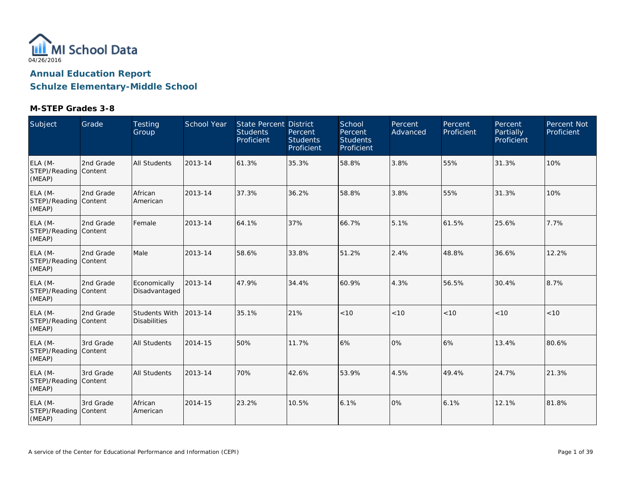

| Subject                                    | Grade                | <b>Testing</b><br>Group              | School Year | <b>State Percent District</b><br><b>Students</b><br>Proficient | Percent<br><b>Students</b><br>Proficient | School<br>Percent<br><b>Students</b><br>Proficient | Percent<br>Advanced | Percent<br>Proficient | Percent<br>Partially<br>Proficient | Percent Not<br>Proficient |
|--------------------------------------------|----------------------|--------------------------------------|-------------|----------------------------------------------------------------|------------------------------------------|----------------------------------------------------|---------------------|-----------------------|------------------------------------|---------------------------|
| ELA (M-<br>STEP)/Reading Content<br>(MEAP) | 2nd Grade            | <b>All Students</b>                  | 2013-14     | 61.3%                                                          | 35.3%                                    | 58.8%                                              | 3.8%                | 55%                   | 31.3%                              | 10%                       |
| ELA (M-<br>STEP)/Reading Content<br>(MEAP) | 2nd Grade            | African<br>American                  | 2013-14     | 37.3%                                                          | 36.2%                                    | 58.8%                                              | 3.8%                | 55%                   | 31.3%                              | 10%                       |
| ELA (M-<br>STEP)/Reading Content<br>(MEAP) | 2nd Grade            | Female                               | 2013-14     | 64.1%                                                          | 37%                                      | 66.7%                                              | 5.1%                | 61.5%                 | 25.6%                              | 7.7%                      |
| ELA (M-<br>STEP)/Reading Content<br>(MEAP) | 2nd Grade            | Male                                 | 2013-14     | 58.6%                                                          | 33.8%                                    | 51.2%                                              | 2.4%                | 48.8%                 | 36.6%                              | 12.2%                     |
| ELA (M-<br>STEP)/Reading Content<br>(MEAP) | 2nd Grade            | Economically<br>Disadvantaged        | 2013-14     | 47.9%                                                          | 34.4%                                    | 60.9%                                              | 4.3%                | 56.5%                 | 30.4%                              | 8.7%                      |
| ELA (M-<br>STEP)/Reading Content<br>(MEAP) | 2nd Grade            | Students With<br><b>Disabilities</b> | 2013-14     | 35.1%                                                          | 21%                                      | < 10                                               | < 10                | < 10                  | < 10                               | < 10                      |
| ELA (M-<br>STEP)/Reading Content<br>(MEAP) | 3rd Grade            | <b>All Students</b>                  | 2014-15     | 50%                                                            | 11.7%                                    | 6%                                                 | 0%                  | 6%                    | 13.4%                              | 80.6%                     |
| ELA (M-<br>STEP)/Reading<br>(MEAP)         | 3rd Grade<br>Content | <b>All Students</b>                  | 2013-14     | 70%                                                            | 42.6%                                    | 53.9%                                              | 4.5%                | 49.4%                 | 24.7%                              | 21.3%                     |
| ELA (M-<br>STEP)/Reading Content<br>(MEAP) | 3rd Grade            | African<br>American                  | 2014-15     | 23.2%                                                          | 10.5%                                    | 6.1%                                               | 0%                  | 6.1%                  | 12.1%                              | 81.8%                     |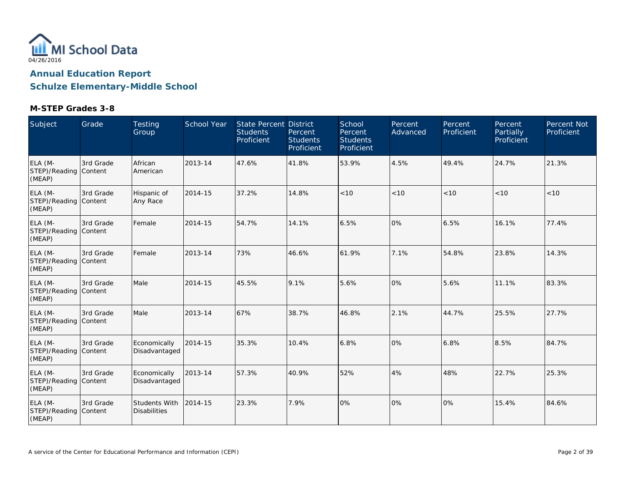

| Subject                                    | Grade     | <b>Testing</b><br>Group              | <b>School Year</b> | State Percent District<br><b>Students</b><br>Proficient | Percent<br><b>Students</b><br>Proficient | School<br>Percent<br><b>Students</b><br>Proficient | Percent<br>Advanced | Percent<br>Proficient | Percent<br>Partially<br>Proficient | Percent Not<br>Proficient |
|--------------------------------------------|-----------|--------------------------------------|--------------------|---------------------------------------------------------|------------------------------------------|----------------------------------------------------|---------------------|-----------------------|------------------------------------|---------------------------|
| ELA (M-<br>STEP)/Reading Content<br>(MEAP) | 3rd Grade | African<br>American                  | 2013-14            | 47.6%                                                   | 41.8%                                    | 53.9%                                              | 4.5%                | 49.4%                 | 24.7%                              | 21.3%                     |
| ELA (M-<br>STEP)/Reading Content<br>(MEAP) | 3rd Grade | Hispanic of<br>Any Race              | 2014-15            | 37.2%                                                   | 14.8%                                    | < 10                                               | < 10                | < 10                  | < 10                               | < 10                      |
| ELA (M-<br>STEP)/Reading Content<br>(MEAP) | 3rd Grade | Female                               | 2014-15            | 54.7%                                                   | 14.1%                                    | 6.5%                                               | 0%                  | 6.5%                  | 16.1%                              | 77.4%                     |
| ELA (M-<br>STEP)/Reading Content<br>(MEAP) | 3rd Grade | Female                               | 2013-14            | 73%                                                     | 46.6%                                    | 61.9%                                              | 7.1%                | 54.8%                 | 23.8%                              | 14.3%                     |
| ELA (M-<br>STEP)/Reading Content<br>(MEAP) | 3rd Grade | Male                                 | 2014-15            | 45.5%                                                   | 9.1%                                     | 5.6%                                               | 0%                  | 5.6%                  | 11.1%                              | 83.3%                     |
| ELA (M-<br>STEP)/Reading Content<br>(MEAP) | 3rd Grade | Male                                 | 2013-14            | 67%                                                     | 38.7%                                    | 46.8%                                              | 2.1%                | 44.7%                 | 25.5%                              | 27.7%                     |
| ELA (M-<br>STEP)/Reading Content<br>(MEAP) | 3rd Grade | Economically<br>Disadvantaged        | 2014-15            | 35.3%                                                   | 10.4%                                    | 6.8%                                               | 0%                  | 6.8%                  | 8.5%                               | 84.7%                     |
| ELA (M-<br>STEP)/Reading Content<br>(MEAP) | 3rd Grade | Economically<br>Disadvantaged        | 2013-14            | 57.3%                                                   | 40.9%                                    | 52%                                                | 4%                  | 48%                   | 22.7%                              | 25.3%                     |
| ELA (M-<br>STEP)/Reading Content<br>(MEAP) | 3rd Grade | Students With<br><b>Disabilities</b> | 2014-15            | 23.3%                                                   | 7.9%                                     | 0%                                                 | 0%                  | 0%                    | 15.4%                              | 84.6%                     |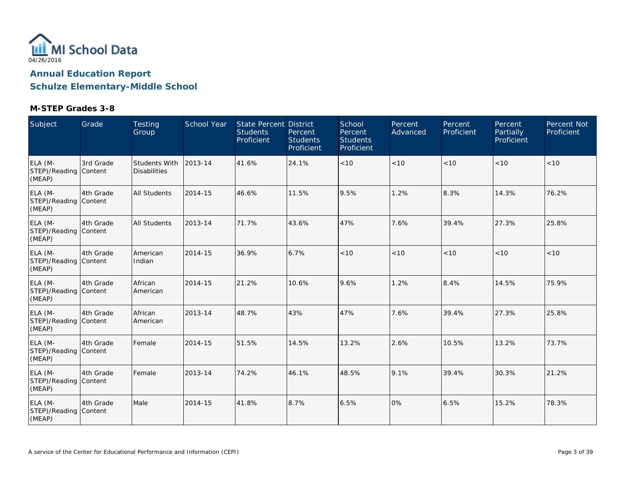

| Subject                                    | Grade     | <b>Testing</b><br>Group              | School Year | State Percent District<br><b>Students</b><br>Proficient | Percent<br><b>Students</b><br>Proficient | School<br>Percent<br><b>Students</b><br>Proficient | Percent<br>Advanced | Percent<br>Proficient | Percent<br>Partially<br>Proficient | Percent Not<br>Proficient |
|--------------------------------------------|-----------|--------------------------------------|-------------|---------------------------------------------------------|------------------------------------------|----------------------------------------------------|---------------------|-----------------------|------------------------------------|---------------------------|
| ELA (M-<br>STEP)/Reading Content<br>(MEAP) | 3rd Grade | Students With<br><b>Disabilities</b> | 2013-14     | 41.6%                                                   | 24.1%                                    | < 10                                               | < 10                | < 10                  | < 10                               | < 10                      |
| ELA (M-<br>STEP)/Reading Content<br>(MEAP) | 4th Grade | All Students                         | 2014-15     | 46.6%                                                   | 11.5%                                    | 9.5%                                               | 1.2%                | 8.3%                  | 14.3%                              | 76.2%                     |
| ELA (M-<br>STEP)/Reading Content<br>(MEAP) | 4th Grade | <b>All Students</b>                  | 2013-14     | 71.7%                                                   | 43.6%                                    | 47%                                                | 7.6%                | 39.4%                 | 27.3%                              | 25.8%                     |
| ELA (M-<br>STEP)/Reading Content<br>(MEAP) | 4th Grade | American<br>Indian                   | 2014-15     | 36.9%                                                   | 6.7%                                     | < 10                                               | < 10                | < 10                  | < 10                               | < 10                      |
| ELA (M-<br>STEP)/Reading Content<br>(MEAP) | 4th Grade | African<br>American                  | 2014-15     | 21.2%                                                   | 10.6%                                    | 9.6%                                               | 1.2%                | 8.4%                  | 14.5%                              | 75.9%                     |
| ELA (M-<br>STEP)/Reading Content<br>(MEAP) | 4th Grade | African<br>American                  | 2013-14     | 48.7%                                                   | 43%                                      | 47%                                                | 7.6%                | 39.4%                 | 27.3%                              | 25.8%                     |
| ELA (M-<br>STEP)/Reading Content<br>(MEAP) | 4th Grade | Female                               | 2014-15     | 51.5%                                                   | 14.5%                                    | 13.2%                                              | 2.6%                | 10.5%                 | 13.2%                              | 73.7%                     |
| ELA (M-<br>STEP)/Reading Content<br>(MEAP) | 4th Grade | Female                               | 2013-14     | 74.2%                                                   | 46.1%                                    | 48.5%                                              | 9.1%                | 39.4%                 | 30.3%                              | 21.2%                     |
| ELA (M-<br>STEP)/Reading Content<br>(MEAP) | 4th Grade | Male                                 | 2014-15     | 41.8%                                                   | 8.7%                                     | 6.5%                                               | 0%                  | 6.5%                  | 15.2%                              | 78.3%                     |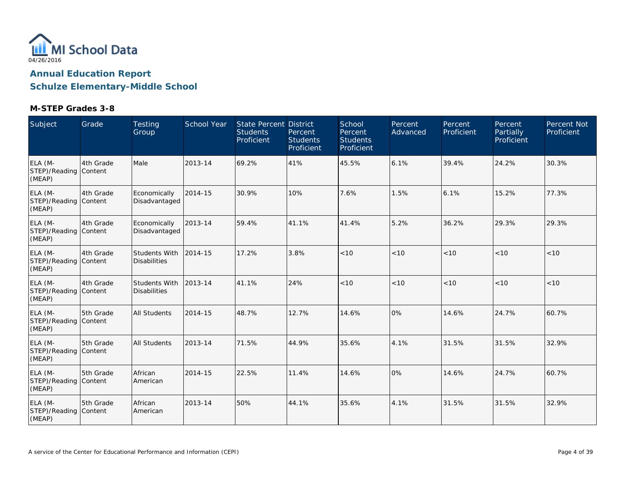

| Subject                                    | Grade                | <b>Testing</b><br>Group              | School Year | <b>State Percent District</b><br><b>Students</b><br>Proficient | Percent<br><b>Students</b><br>Proficient | School<br>Percent<br><b>Students</b><br>Proficient | Percent<br>Advanced | Percent<br>Proficient | Percent<br>Partially<br>Proficient | <b>Percent Not</b><br>Proficient |
|--------------------------------------------|----------------------|--------------------------------------|-------------|----------------------------------------------------------------|------------------------------------------|----------------------------------------------------|---------------------|-----------------------|------------------------------------|----------------------------------|
| ELA (M-<br>STEP)/Reading Content<br>(MEAP) | 4th Grade            | Male                                 | 2013-14     | 69.2%                                                          | 41%                                      | 45.5%                                              | 6.1%                | 39.4%                 | 24.2%                              | 30.3%                            |
| ELA (M-<br>STEP)/Reading Content<br>(MEAP) | 4th Grade            | Economically<br>Disadvantaged        | 2014-15     | 30.9%                                                          | 10%                                      | 7.6%                                               | 1.5%                | 6.1%                  | 15.2%                              | 77.3%                            |
| ELA (M-<br>STEP)/Reading Content<br>(MEAP) | 4th Grade            | Economically<br>Disadvantaged        | 2013-14     | 59.4%                                                          | 41.1%                                    | 41.4%                                              | 5.2%                | 36.2%                 | 29.3%                              | 29.3%                            |
| ELA (M-<br>STEP)/Reading Content<br>(MEAP) | 4th Grade            | Students With<br><b>Disabilities</b> | 2014-15     | 17.2%                                                          | 3.8%                                     | < 10                                               | < 10                | < 10                  | < 10                               | < 10                             |
| ELA (M-<br>STEP)/Reading Content<br>(MEAP) | 4th Grade            | Students With<br><b>Disabilities</b> | 2013-14     | 41.1%                                                          | 24%                                      | < 10                                               | < 10                | < 10                  | < 10                               | < 10                             |
| ELA (M-<br>STEP)/Reading Content<br>(MEAP) | 5th Grade            | <b>All Students</b>                  | 2014-15     | 48.7%                                                          | 12.7%                                    | 14.6%                                              | 0%                  | 14.6%                 | 24.7%                              | 60.7%                            |
| ELA (M-<br>STEP)/Reading Content<br>(MEAP) | 5th Grade            | <b>All Students</b>                  | 2013-14     | 71.5%                                                          | 44.9%                                    | 35.6%                                              | 4.1%                | 31.5%                 | 31.5%                              | 32.9%                            |
| ELA (M-<br>STEP)/Reading<br>(MEAP)         | 5th Grade<br>Content | African<br>American                  | 2014-15     | 22.5%                                                          | 11.4%                                    | 14.6%                                              | 0%                  | 14.6%                 | 24.7%                              | 60.7%                            |
| ELA (M-<br>STEP)/Reading Content<br>(MEAP) | 5th Grade            | African<br>American                  | 2013-14     | 50%                                                            | 44.1%                                    | 35.6%                                              | 4.1%                | 31.5%                 | 31.5%                              | 32.9%                            |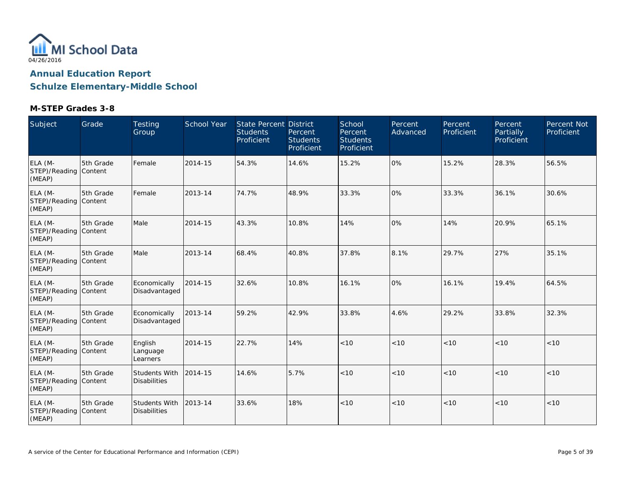

| Subject                                    | Grade     | <b>Testing</b><br>Group                     | <b>School Year</b> | <b>State Percent District</b><br><b>Students</b><br>Proficient | Percent<br><b>Students</b><br>Proficient | School<br>Percent<br><b>Students</b><br>Proficient | Percent<br>Advanced | Percent<br>Proficient | Percent<br>Partially<br>Proficient | Percent Not<br>Proficient |
|--------------------------------------------|-----------|---------------------------------------------|--------------------|----------------------------------------------------------------|------------------------------------------|----------------------------------------------------|---------------------|-----------------------|------------------------------------|---------------------------|
| ELA (M-<br>STEP)/Reading Content<br>(MEAP) | 5th Grade | Female                                      | 2014-15            | 54.3%                                                          | 14.6%                                    | 15.2%                                              | 0%                  | 15.2%                 | 28.3%                              | 56.5%                     |
| ELA (M-<br>STEP)/Reading Content<br>(MEAP) | 5th Grade | Female                                      | 2013-14            | 74.7%                                                          | 48.9%                                    | 33.3%                                              | 0%                  | 33.3%                 | 36.1%                              | 30.6%                     |
| ELA (M-<br>STEP)/Reading Content<br>(MEAP) | 5th Grade | Male                                        | 2014-15            | 43.3%                                                          | 10.8%                                    | 14%                                                | 0%                  | 14%                   | 20.9%                              | 65.1%                     |
| ELA (M-<br>STEP)/Reading Content<br>(MEAP) | 5th Grade | Male                                        | 2013-14            | 68.4%                                                          | 40.8%                                    | 37.8%                                              | 8.1%                | 29.7%                 | 27%                                | 35.1%                     |
| ELA (M-<br>STEP)/Reading Content<br>(MEAP) | 5th Grade | Economically<br>Disadvantaged               | 2014-15            | 32.6%                                                          | 10.8%                                    | 16.1%                                              | 0%                  | 16.1%                 | 19.4%                              | 64.5%                     |
| ELA (M-<br>STEP)/Reading Content<br>(MEAP) | 5th Grade | Economically<br>Disadvantaged               | 2013-14            | 59.2%                                                          | 42.9%                                    | 33.8%                                              | 4.6%                | 29.2%                 | 33.8%                              | 32.3%                     |
| ELA (M-<br>STEP)/Reading Content<br>(MEAP) | 5th Grade | English<br>Language<br>Learners             | 2014-15            | 22.7%                                                          | 14%                                      | < 10                                               | < 10                | < 10                  | < 10                               | < 10                      |
| ELA (M-<br>STEP)/Reading Content<br>(MEAP) | 5th Grade | <b>Students With</b><br><b>Disabilities</b> | 2014-15            | 14.6%                                                          | 5.7%                                     | < 10                                               | < 10                | < 10                  | < 10                               | < 10                      |
| ELA (M-<br>STEP)/Reading Content<br>(MEAP) | 5th Grade | Students With<br><b>Disabilities</b>        | 2013-14            | 33.6%                                                          | 18%                                      | < 10                                               | < 10                | < 10                  | < 10                               | < 10                      |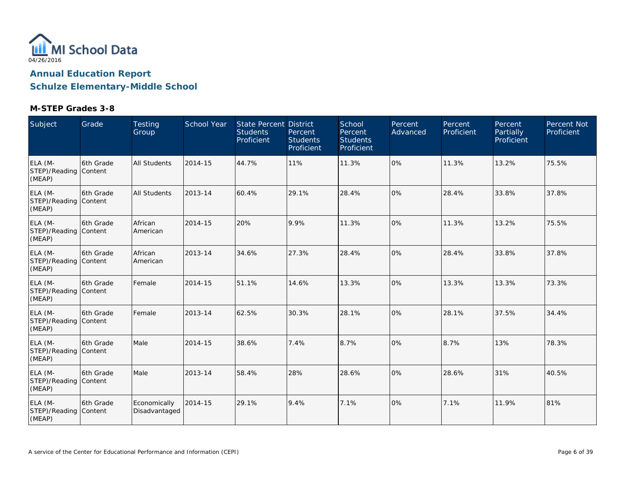

| Subject                                    | Grade      | <b>Testing</b><br>Group       | <b>School Year</b> | <b>State Percent District</b><br><b>Students</b><br>Proficient | Percent<br><b>Students</b><br>Proficient | School<br>Percent<br><b>Students</b><br>Proficient | Percent<br>Advanced | Percent<br>Proficient | Percent<br>Partially<br>Proficient | Percent Not<br>Proficient |
|--------------------------------------------|------------|-------------------------------|--------------------|----------------------------------------------------------------|------------------------------------------|----------------------------------------------------|---------------------|-----------------------|------------------------------------|---------------------------|
| ELA (M-<br>STEP)/Reading Content<br>(MEAP) | 6th Grade  | All Students                  | 2014-15            | 44.7%                                                          | 11%                                      | 11.3%                                              | 0%                  | 11.3%                 | 13.2%                              | 75.5%                     |
| ELA (M-<br>STEP)/Reading Content<br>(MEAP) | l6th Grade | <b>All Students</b>           | 2013-14            | 60.4%                                                          | 29.1%                                    | 28.4%                                              | 0%                  | 28.4%                 | 33.8%                              | 37.8%                     |
| ELA (M-<br>STEP)/Reading Content<br>(MEAP) | 6th Grade  | African<br>American           | 2014-15            | 20%                                                            | 9.9%                                     | 11.3%                                              | 0%                  | 11.3%                 | 13.2%                              | 75.5%                     |
| ELA (M-<br>STEP)/Reading Content<br>(MEAP) | 6th Grade  | African<br>American           | 2013-14            | 34.6%                                                          | 27.3%                                    | 28.4%                                              | 0%                  | 28.4%                 | 33.8%                              | 37.8%                     |
| ELA (M-<br>STEP)/Reading Content<br>(MEAP) | l6th Grade | Female                        | 2014-15            | 51.1%                                                          | 14.6%                                    | 13.3%                                              | 0%                  | 13.3%                 | 13.3%                              | 73.3%                     |
| ELA (M-<br>STEP)/Reading Content<br>(MEAP) | 6th Grade  | Female                        | 2013-14            | 62.5%                                                          | 30.3%                                    | 28.1%                                              | 0%                  | 28.1%                 | 37.5%                              | 34.4%                     |
| ELA (M-<br>STEP)/Reading Content<br>(MEAP) | 6th Grade  | Male                          | 2014-15            | 38.6%                                                          | 7.4%                                     | 8.7%                                               | 0%                  | 8.7%                  | 13%                                | 78.3%                     |
| ELA (M-<br>STEP)/Reading Content<br>(MEAP) | 6th Grade  | Male                          | 2013-14            | 58.4%                                                          | 28%                                      | 28.6%                                              | 0%                  | 28.6%                 | 31%                                | 40.5%                     |
| ELA (M-<br>STEP)/Reading Content<br>(MEAP) | 6th Grade  | Economically<br>Disadvantaged | 2014-15            | 29.1%                                                          | 9.4%                                     | 7.1%                                               | 0%                  | 7.1%                  | 11.9%                              | 81%                       |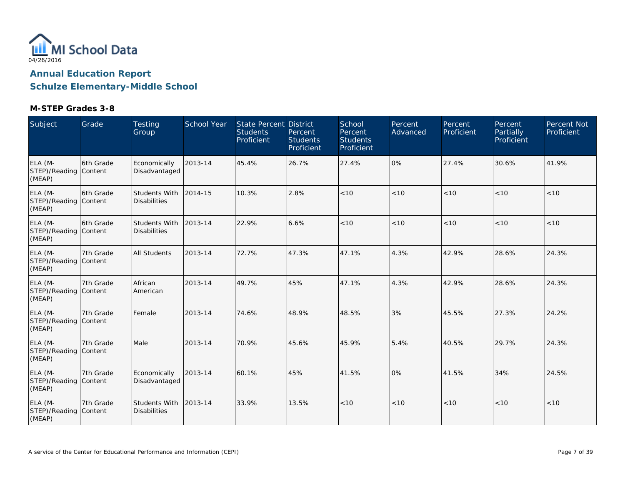

| Subject                                    | Grade      | <b>Testing</b><br>Group              | <b>School Year</b> | <b>State Percent District</b><br><b>Students</b><br>Proficient | Percent<br><b>Students</b><br>Proficient | School<br>Percent<br><b>Students</b><br>Proficient | Percent<br>Advanced | Percent<br>Proficient | Percent<br>Partially<br>Proficient | Percent Not<br>Proficient |
|--------------------------------------------|------------|--------------------------------------|--------------------|----------------------------------------------------------------|------------------------------------------|----------------------------------------------------|---------------------|-----------------------|------------------------------------|---------------------------|
| ELA (M-<br>STEP)/Reading Content<br>(MEAP) | 6th Grade  | Economically<br>Disadvantaged        | 2013-14            | 45.4%                                                          | 26.7%                                    | 27.4%                                              | 0%                  | 27.4%                 | 30.6%                              | 41.9%                     |
| ELA (M-<br>STEP)/Reading Content<br>(MEAP) | l6th Grade | Students With<br><b>Disabilities</b> | 2014-15            | 10.3%                                                          | 2.8%                                     | < 10                                               | < 10                | < 10                  | < 10                               | < 10                      |
| ELA (M-<br>STEP)/Reading Content<br>(MEAP) | 6th Grade  | Students With<br><b>Disabilities</b> | 2013-14            | 22.9%                                                          | 6.6%                                     | < 10                                               | < 10                | < 10                  | < 10                               | < 10                      |
| ELA (M-<br>STEP)/Reading Content<br>(MEAP) | 7th Grade  | All Students                         | 2013-14            | 72.7%                                                          | 47.3%                                    | 47.1%                                              | 4.3%                | 42.9%                 | 28.6%                              | 24.3%                     |
| ELA (M-<br>STEP)/Reading Content<br>(MEAP) | 7th Grade  | African<br>American                  | 2013-14            | 49.7%                                                          | 45%                                      | 47.1%                                              | 4.3%                | 42.9%                 | 28.6%                              | 24.3%                     |
| ELA (M-<br>STEP)/Reading Content<br>(MEAP) | 7th Grade  | Female                               | 2013-14            | 74.6%                                                          | 48.9%                                    | 48.5%                                              | 3%                  | 45.5%                 | 27.3%                              | 24.2%                     |
| ELA (M-<br>STEP)/Reading Content<br>(MEAP) | 7th Grade  | Male                                 | 2013-14            | 70.9%                                                          | 45.6%                                    | 45.9%                                              | 5.4%                | 40.5%                 | 29.7%                              | 24.3%                     |
| ELA (M-<br>STEP)/Reading Content<br>(MEAP) | 7th Grade  | Economically<br>Disadvantaged        | 2013-14            | 60.1%                                                          | 45%                                      | 41.5%                                              | 0%                  | 41.5%                 | 34%                                | 24.5%                     |
| ELA (M-<br>STEP)/Reading Content<br>(MEAP) | 7th Grade  | Students With<br><b>Disabilities</b> | 2013-14            | 33.9%                                                          | 13.5%                                    | < 10                                               | < 10                | < 10                  | < 10                               | < 10                      |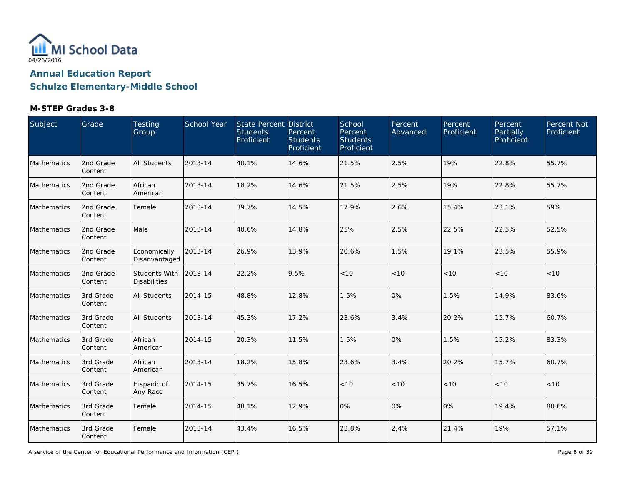

### **M-STEP Grades 3-8**

| Subject     | Grade                 | Testing<br>Group                            | School Year | <b>State Percent District</b><br><b>Students</b><br>Proficient | Percent<br><b>Students</b><br>Proficient | School<br>Percent<br><b>Students</b><br>Proficient | Percent<br>Advanced | Percent<br>Proficient | Percent<br>Partially<br>Proficient | Percent Not<br>Proficient |
|-------------|-----------------------|---------------------------------------------|-------------|----------------------------------------------------------------|------------------------------------------|----------------------------------------------------|---------------------|-----------------------|------------------------------------|---------------------------|
| Mathematics | 2nd Grade<br>Content  | <b>All Students</b>                         | 2013-14     | 40.1%                                                          | 14.6%                                    | 21.5%                                              | 2.5%                | 19%                   | 22.8%                              | 55.7%                     |
| Mathematics | 2nd Grade<br>Content  | African<br>American                         | 2013-14     | 18.2%                                                          | 14.6%                                    | 21.5%                                              | 2.5%                | 19%                   | 22.8%                              | 55.7%                     |
| Mathematics | 2nd Grade<br>Content  | Female                                      | 2013-14     | 39.7%                                                          | 14.5%                                    | 17.9%                                              | 2.6%                | 15.4%                 | 23.1%                              | 59%                       |
| Mathematics | 2nd Grade<br>Content  | Male                                        | 2013-14     | 40.6%                                                          | 14.8%                                    | 25%                                                | 2.5%                | 22.5%                 | 22.5%                              | 52.5%                     |
| Mathematics | 2nd Grade<br>Content  | Economically<br>Disadvantaged               | 2013-14     | 26.9%                                                          | 13.9%                                    | 20.6%                                              | 1.5%                | 19.1%                 | 23.5%                              | 55.9%                     |
| Mathematics | 2nd Grade<br>Content  | <b>Students With</b><br><b>Disabilities</b> | 2013-14     | 22.2%                                                          | 9.5%                                     | $<10$                                              | < 10                | $<10$                 | < 10                               | < 10                      |
| Mathematics | 3rd Grade<br>Content  | <b>All Students</b>                         | 2014-15     | 48.8%                                                          | 12.8%                                    | 1.5%                                               | 0%                  | 1.5%                  | 14.9%                              | 83.6%                     |
| Mathematics | 3rd Grade<br>Content  | <b>All Students</b>                         | 2013-14     | 45.3%                                                          | 17.2%                                    | 23.6%                                              | 3.4%                | 20.2%                 | 15.7%                              | 60.7%                     |
| Mathematics | 3rd Grade<br>Content  | African<br>American                         | 2014-15     | 20.3%                                                          | 11.5%                                    | 1.5%                                               | 0%                  | 1.5%                  | 15.2%                              | 83.3%                     |
| Mathematics | 3rd Grade<br>Content  | African<br>American                         | 2013-14     | 18.2%                                                          | 15.8%                                    | 23.6%                                              | 3.4%                | 20.2%                 | 15.7%                              | 60.7%                     |
| Mathematics | 3rd Grade<br>Content  | Hispanic of<br>Any Race                     | 2014-15     | 35.7%                                                          | 16.5%                                    | $<10$                                              | < 10                | < 10                  | < 10                               | < 10                      |
| Mathematics | 3rd Grade<br>Content  | Female                                      | 2014-15     | 48.1%                                                          | 12.9%                                    | 0%                                                 | 0%                  | 0%                    | 19.4%                              | 80.6%                     |
| Mathematics | 3rd Grade<br> Content | Female                                      | 2013-14     | 43.4%                                                          | 16.5%                                    | 23.8%                                              | 2.4%                | 21.4%                 | 19%                                | 57.1%                     |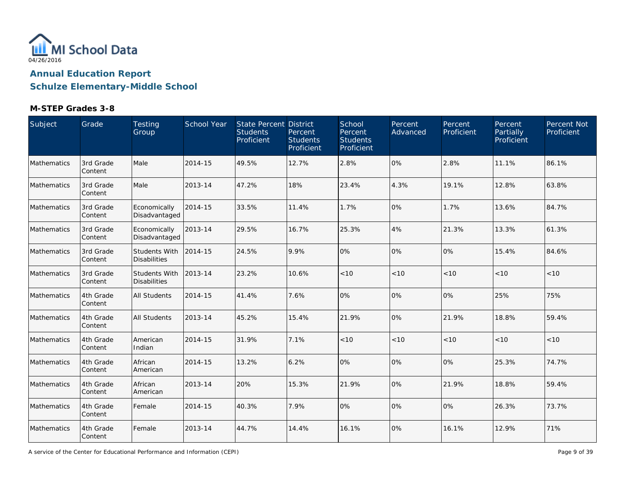

### **M-STEP Grades 3-8**

| Subject     | Grade                 | Testing<br>Group                     | School Year | <b>State Percent District</b><br><b>Students</b><br>Proficient | Percent<br><b>Students</b><br>Proficient | School<br>Percent<br><b>Students</b><br>Proficient | Percent<br>Advanced | Percent<br>Proficient | Percent<br>Partially<br>Proficient | Percent Not<br>Proficient |
|-------------|-----------------------|--------------------------------------|-------------|----------------------------------------------------------------|------------------------------------------|----------------------------------------------------|---------------------|-----------------------|------------------------------------|---------------------------|
| Mathematics | 3rd Grade<br>Content  | Male                                 | 2014-15     | 49.5%                                                          | 12.7%                                    | 2.8%                                               | 0%                  | 2.8%                  | 11.1%                              | 86.1%                     |
| Mathematics | 3rd Grade<br>Content  | Male                                 | 2013-14     | 47.2%                                                          | 18%                                      | 23.4%                                              | 4.3%                | 19.1%                 | 12.8%                              | 63.8%                     |
| Mathematics | 3rd Grade<br>Content  | Economically<br>Disadvantaged        | 2014-15     | 33.5%                                                          | 11.4%                                    | 1.7%                                               | 0%                  | 1.7%                  | 13.6%                              | 84.7%                     |
| Mathematics | 3rd Grade<br>Content  | Economically<br>Disadvantaged        | 2013-14     | 29.5%                                                          | 16.7%                                    | 25.3%                                              | 4%                  | 21.3%                 | 13.3%                              | 61.3%                     |
| Mathematics | 3rd Grade<br>Content  | Students With<br><b>Disabilities</b> | 2014-15     | 24.5%                                                          | 9.9%                                     | 0%                                                 | 0%                  | 0%                    | 15.4%                              | 84.6%                     |
| Mathematics | 3rd Grade<br>Content  | Students With<br><b>Disabilities</b> | 2013-14     | 23.2%                                                          | 10.6%                                    | $<10$                                              | < 10                | < 10                  | < 10                               | < 10                      |
| Mathematics | 4th Grade<br>Content  | <b>All Students</b>                  | 2014-15     | 41.4%                                                          | 7.6%                                     | 0%                                                 | 0%                  | 0%                    | 25%                                | 75%                       |
| Mathematics | 4th Grade<br>Content  | <b>All Students</b>                  | 2013-14     | 45.2%                                                          | 15.4%                                    | 21.9%                                              | 0%                  | 21.9%                 | 18.8%                              | 59.4%                     |
| Mathematics | 4th Grade<br>Content  | American<br>Indian                   | 2014-15     | 31.9%                                                          | 7.1%                                     | < 10                                               | < 10                | < 10                  | < 10                               | < 10                      |
| Mathematics | 4th Grade<br>Content  | African<br>American                  | 2014-15     | 13.2%                                                          | 6.2%                                     | 0%                                                 | 0%                  | 0%                    | 25.3%                              | 74.7%                     |
| Mathematics | 4th Grade<br>Content  | African<br>American                  | 2013-14     | 20%                                                            | 15.3%                                    | 21.9%                                              | 0%                  | 21.9%                 | 18.8%                              | 59.4%                     |
| Mathematics | 4th Grade<br>Content  | Female                               | 2014-15     | 40.3%                                                          | 7.9%                                     | 0%                                                 | 0%                  | 0%                    | 26.3%                              | 73.7%                     |
| Mathematics | 4th Grade<br> Content | Female                               | 2013-14     | 44.7%                                                          | 14.4%                                    | 16.1%                                              | 0%                  | 16.1%                 | 12.9%                              | 71%                       |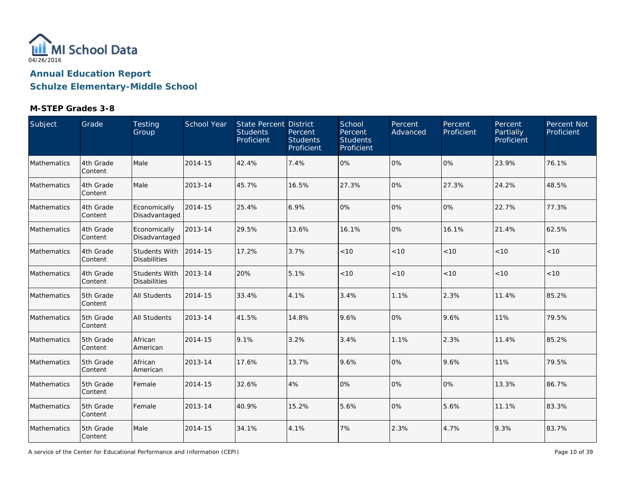

### **M-STEP Grades 3-8**

| Subject     | Grade                | Testing<br>Group                            | School Year | State Percent District<br><b>Students</b><br>Proficient | Percent<br><b>Students</b><br>Proficient | School<br>Percent<br><b>Students</b><br>Proficient | Percent<br>Advanced | Percent<br>Proficient | Percent<br>Partially<br>Proficient | Percent Not<br>Proficient |
|-------------|----------------------|---------------------------------------------|-------------|---------------------------------------------------------|------------------------------------------|----------------------------------------------------|---------------------|-----------------------|------------------------------------|---------------------------|
| Mathematics | 4th Grade<br>Content | Male                                        | 2014-15     | 42.4%                                                   | 7.4%                                     | 0%                                                 | 0%                  | 0%                    | 23.9%                              | 76.1%                     |
| Mathematics | 4th Grade<br>Content | Male                                        | 2013-14     | 45.7%                                                   | 16.5%                                    | 27.3%                                              | 0%                  | 27.3%                 | 24.2%                              | 48.5%                     |
| Mathematics | 4th Grade<br>Content | Economically<br>Disadvantaged               | 2014-15     | 25.4%                                                   | 6.9%                                     | 0%                                                 | 0%                  | 0%                    | 22.7%                              | 77.3%                     |
| Mathematics | 4th Grade<br>Content | Economically<br>Disadvantaged               | 2013-14     | 29.5%                                                   | 13.6%                                    | 16.1%                                              | 0%                  | 16.1%                 | 21.4%                              | 62.5%                     |
| Mathematics | 4th Grade<br>Content | <b>Students With</b><br><b>Disabilities</b> | 2014-15     | 17.2%                                                   | 3.7%                                     | < 10                                               | < 10                | < 10                  | < 10                               | < 10                      |
| Mathematics | 4th Grade<br>Content | Students With<br><b>Disabilities</b>        | 2013-14     | 20%                                                     | 5.1%                                     | < 10                                               | < 10                | < 10                  | < 10                               | $<10$                     |
| Mathematics | 5th Grade<br>Content | All Students                                | 2014-15     | 33.4%                                                   | 4.1%                                     | 3.4%                                               | 1.1%                | 2.3%                  | 11.4%                              | 85.2%                     |
| Mathematics | 5th Grade<br>Content | <b>All Students</b>                         | 2013-14     | 41.5%                                                   | 14.8%                                    | 9.6%                                               | 0%                  | 9.6%                  | 11%                                | 79.5%                     |
| Mathematics | 5th Grade<br>Content | African<br>American                         | 2014-15     | 9.1%                                                    | 3.2%                                     | 3.4%                                               | 1.1%                | 2.3%                  | 11.4%                              | 85.2%                     |
| Mathematics | 5th Grade<br>Content | African<br>American                         | 2013-14     | 17.6%                                                   | 13.7%                                    | 9.6%                                               | 0%                  | 9.6%                  | 11%                                | 79.5%                     |
| Mathematics | 5th Grade<br>Content | Female                                      | 2014-15     | 32.6%                                                   | 4%                                       | 0%                                                 | 0%                  | 10%                   | 13.3%                              | 86.7%                     |
| Mathematics | 5th Grade<br>Content | Female                                      | 2013-14     | 40.9%                                                   | 15.2%                                    | 5.6%                                               | 0%                  | 5.6%                  | 11.1%                              | 83.3%                     |
| Mathematics | 5th Grade<br>Content | Male                                        | 2014-15     | 34.1%                                                   | 4.1%                                     | 7%                                                 | 2.3%                | 4.7%                  | 9.3%                               | 83.7%                     |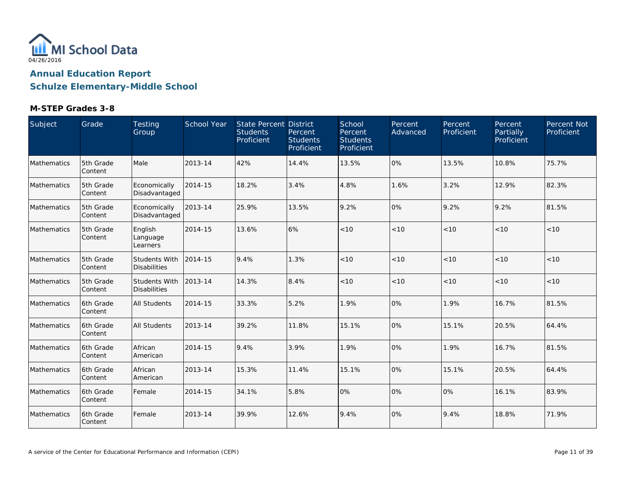

| Subject     | Grade                | Testing<br>Group                     | School Year | State Percent District<br><b>Students</b><br>Proficient | Percent<br><b>Students</b><br>Proficient | School<br>Percent<br><b>Students</b><br>Proficient | Percent<br>Advanced | Percent<br>Proficient | Percent<br>Partially<br>Proficient | Percent Not<br>Proficient |
|-------------|----------------------|--------------------------------------|-------------|---------------------------------------------------------|------------------------------------------|----------------------------------------------------|---------------------|-----------------------|------------------------------------|---------------------------|
| Mathematics | 5th Grade<br>Content | Male                                 | 2013-14     | 42%                                                     | 14.4%                                    | 13.5%                                              | 0%                  | 13.5%                 | 10.8%                              | 75.7%                     |
| Mathematics | 5th Grade<br>Content | Economically<br>Disadvantaged        | 2014-15     | 18.2%                                                   | 3.4%                                     | 4.8%                                               | 1.6%                | 3.2%                  | 12.9%                              | 82.3%                     |
| Mathematics | 5th Grade<br>Content | Economically<br>Disadvantaged        | 2013-14     | 25.9%                                                   | 13.5%                                    | 9.2%                                               | 0%                  | 9.2%                  | 9.2%                               | 81.5%                     |
| Mathematics | 5th Grade<br>Content | English<br>Language<br>Learners      | 2014-15     | 13.6%                                                   | 6%                                       | < 10                                               | < 10                | < 10                  | < 10                               | <10                       |
| Mathematics | 5th Grade<br>Content | Students With<br><b>Disabilities</b> | 2014-15     | 9.4%                                                    | 1.3%                                     | $<10$                                              | < 10                | < 10                  | < 10                               | < 10                      |
| Mathematics | 5th Grade<br>Content | Students With<br><b>Disabilities</b> | 2013-14     | 14.3%                                                   | 8.4%                                     | $<10$                                              | $<10$               | < 10                  | < 10                               | $<10$                     |
| Mathematics | 6th Grade<br>Content | <b>All Students</b>                  | 2014-15     | 33.3%                                                   | 5.2%                                     | 1.9%                                               | 0%                  | 1.9%                  | 16.7%                              | 81.5%                     |
| Mathematics | 6th Grade<br>Content | <b>All Students</b>                  | 2013-14     | 39.2%                                                   | 11.8%                                    | 15.1%                                              | 0%                  | 15.1%                 | 20.5%                              | 64.4%                     |
| Mathematics | 6th Grade<br>Content | African<br>American                  | 2014-15     | 9.4%                                                    | 3.9%                                     | 1.9%                                               | 0%                  | 1.9%                  | 16.7%                              | 81.5%                     |
| Mathematics | 6th Grade<br>Content | African<br>American                  | 2013-14     | 15.3%                                                   | 11.4%                                    | 15.1%                                              | 0%                  | 15.1%                 | 20.5%                              | 64.4%                     |
| Mathematics | 6th Grade<br>Content | Female                               | 2014-15     | 34.1%                                                   | 5.8%                                     | 0%                                                 | 0%                  | 0%                    | 16.1%                              | 83.9%                     |
| Mathematics | 6th Grade<br>Content | Female                               | 2013-14     | 39.9%                                                   | 12.6%                                    | 9.4%                                               | 0%                  | 9.4%                  | 18.8%                              | 71.9%                     |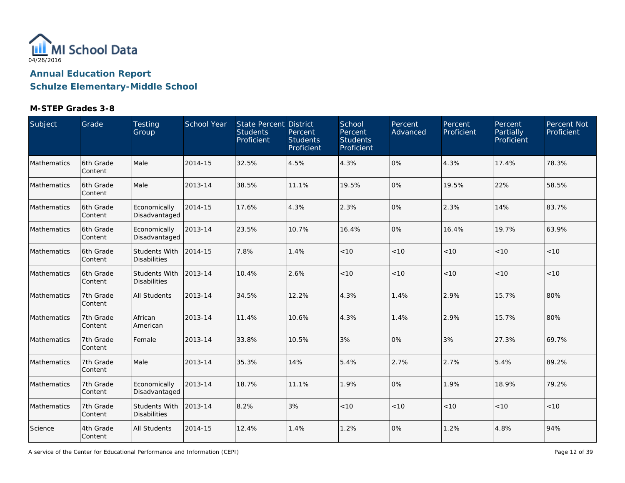

### **M-STEP Grades 3-8**

| Subject     | Grade                 | Testing<br>Group                     | School Year | <b>State Percent District</b><br><b>Students</b><br>Proficient | Percent<br><b>Students</b><br>Proficient | School<br>Percent<br><b>Students</b><br>Proficient | Percent<br>Advanced | Percent<br>Proficient | Percent<br>Partially<br>Proficient | Percent Not<br>Proficient |
|-------------|-----------------------|--------------------------------------|-------------|----------------------------------------------------------------|------------------------------------------|----------------------------------------------------|---------------------|-----------------------|------------------------------------|---------------------------|
| Mathematics | 6th Grade<br>Content  | Male                                 | 2014-15     | 32.5%                                                          | 4.5%                                     | 4.3%                                               | 0%                  | 4.3%                  | 17.4%                              | 78.3%                     |
| Mathematics | 6th Grade<br>Content  | Male                                 | 2013-14     | 38.5%                                                          | 11.1%                                    | 19.5%                                              | 0%                  | 19.5%                 | 22%                                | 58.5%                     |
| Mathematics | l6th Grade<br>Content | Economically<br>Disadvantaged        | 2014-15     | 17.6%                                                          | 4.3%                                     | 2.3%                                               | 0%                  | 2.3%                  | 14%                                | 83.7%                     |
| Mathematics | 6th Grade<br>Content  | Economically<br>Disadvantaged        | 2013-14     | 23.5%                                                          | 10.7%                                    | 16.4%                                              | 0%                  | 16.4%                 | 19.7%                              | 63.9%                     |
| Mathematics | 6th Grade<br>Content  | Students With<br><b>Disabilities</b> | 2014-15     | 7.8%                                                           | 1.4%                                     | $<10$                                              | < 10                | < 10                  | < 10                               | <10                       |
| Mathematics | 6th Grade<br>Content  | Students With<br><b>Disabilities</b> | 2013-14     | 10.4%                                                          | 2.6%                                     | $<10$                                              | < 10                | $<10$                 | < 10                               | < 10                      |
| Mathematics | 7th Grade<br>Content  | <b>All Students</b>                  | 2013-14     | 34.5%                                                          | 12.2%                                    | 4.3%                                               | 1.4%                | 2.9%                  | 15.7%                              | 80%                       |
| Mathematics | 7th Grade<br>Content  | African<br>American                  | 2013-14     | 11.4%                                                          | 10.6%                                    | 4.3%                                               | 1.4%                | 2.9%                  | 15.7%                              | 80%                       |
| Mathematics | 7th Grade<br>Content  | Female                               | 2013-14     | 33.8%                                                          | 10.5%                                    | 3%                                                 | 0%                  | 3%                    | 27.3%                              | 69.7%                     |
| Mathematics | 7th Grade<br>Content  | Male                                 | 2013-14     | 35.3%                                                          | 14%                                      | 5.4%                                               | 2.7%                | 2.7%                  | 5.4%                               | 89.2%                     |
| Mathematics | 7th Grade<br>Content  | Economically<br>Disadvantaged        | 2013-14     | 18.7%                                                          | 11.1%                                    | 1.9%                                               | 0%                  | 1.9%                  | 18.9%                              | 79.2%                     |
| Mathematics | 7th Grade<br>Content  | Students With<br><b>Disabilities</b> | 2013-14     | 8.2%                                                           | 3%                                       | < 10                                               | < 10                | < 10                  | < 10                               | < 10                      |
| Science     | 4th Grade<br> Content | All Students                         | 2014-15     | 12.4%                                                          | 1.4%                                     | 1.2%                                               | 0%                  | 1.2%                  | 4.8%                               | 94%                       |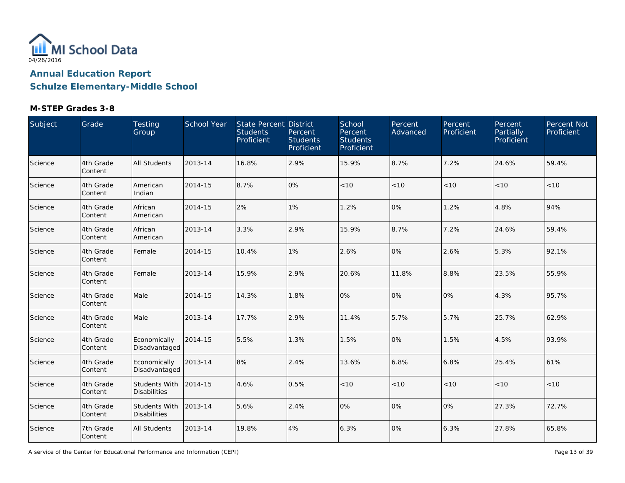

### **M-STEP Grades 3-8**

| Subject | Grade                 | Testing<br>Group                     | School Year | <b>State Percent District</b><br><b>Students</b><br>Proficient | Percent<br><b>Students</b><br>Proficient | School<br>Percent<br><b>Students</b><br>Proficient | Percent<br>Advanced | Percent<br>Proficient | Percent<br>Partially<br>Proficient | Percent Not<br>Proficient |
|---------|-----------------------|--------------------------------------|-------------|----------------------------------------------------------------|------------------------------------------|----------------------------------------------------|---------------------|-----------------------|------------------------------------|---------------------------|
| Science | 4th Grade<br>Content  | <b>All Students</b>                  | 2013-14     | 16.8%                                                          | 2.9%                                     | 15.9%                                              | 8.7%                | 7.2%                  | 24.6%                              | 59.4%                     |
| Science | 4th Grade<br>Content  | American<br>Indian                   | 2014-15     | 8.7%                                                           | 0%                                       | $<10$                                              | < 10                | < 10                  | < 10                               | < 10                      |
| Science | 4th Grade<br>Content  | African<br>American                  | 2014-15     | 2%                                                             | 1%                                       | 1.2%                                               | 0%                  | 1.2%                  | 4.8%                               | 94%                       |
| Science | 4th Grade<br>Content  | African<br>American                  | 2013-14     | 3.3%                                                           | 2.9%                                     | 15.9%                                              | 8.7%                | 7.2%                  | 24.6%                              | 59.4%                     |
| Science | 4th Grade<br>Content  | Female                               | 2014-15     | 10.4%                                                          | 1%                                       | 2.6%                                               | 0%                  | 2.6%                  | 5.3%                               | 92.1%                     |
| Science | 4th Grade<br>Content  | Female                               | 2013-14     | 15.9%                                                          | 2.9%                                     | 20.6%                                              | 11.8%               | 8.8%                  | 23.5%                              | 55.9%                     |
| Science | 4th Grade<br>Content  | Male                                 | 2014-15     | 14.3%                                                          | 1.8%                                     | 0%                                                 | 0%                  | 0%                    | 4.3%                               | 95.7%                     |
| Science | 4th Grade<br>Content  | Male                                 | 2013-14     | 17.7%                                                          | 2.9%                                     | 11.4%                                              | 5.7%                | 5.7%                  | 25.7%                              | 62.9%                     |
| Science | 4th Grade<br>Content  | Economically<br>Disadvantaged        | 2014-15     | 5.5%                                                           | 1.3%                                     | 1.5%                                               | 0%                  | 1.5%                  | 4.5%                               | 93.9%                     |
| Science | 4th Grade<br>Content  | Economically<br>Disadvantaged        | 2013-14     | 8%                                                             | 2.4%                                     | 13.6%                                              | 6.8%                | 6.8%                  | 25.4%                              | 61%                       |
| Science | 4th Grade<br>Content  | Students With<br><b>Disabilities</b> | 2014-15     | 4.6%                                                           | 0.5%                                     | < 10                                               | < 10                | < 10                  | < 10                               | < 10                      |
| Science | 4th Grade<br>Content  | Students With<br><b>Disabilities</b> | 2013-14     | 5.6%                                                           | 2.4%                                     | 0%                                                 | 0%                  | 0%                    | 27.3%                              | 72.7%                     |
| Science | 7th Grade<br> Content | All Students                         | 2013-14     | 19.8%                                                          | 4%                                       | 6.3%                                               | 0%                  | 6.3%                  | 27.8%                              | 65.8%                     |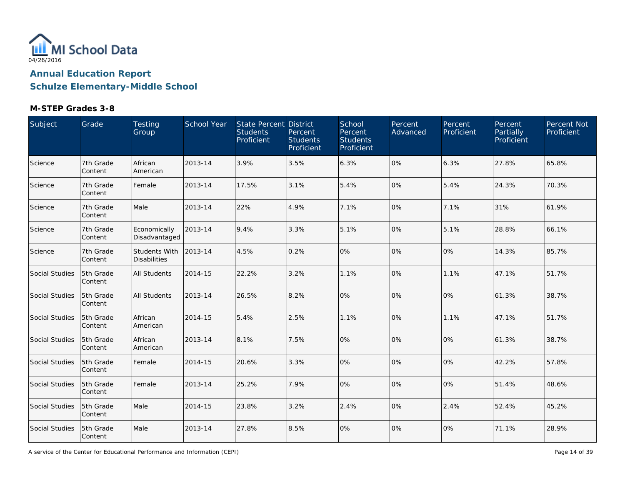

### **M-STEP Grades 3-8**

| Subject        | Grade                | Testing<br>Group                     | School Year | State Percent District<br><b>Students</b><br>Proficient | Percent<br><b>Students</b><br>Proficient | School<br>Percent<br><b>Students</b><br>Proficient | Percent<br>Advanced | Percent<br>Proficient | Percent<br>Partially<br>Proficient | Percent Not<br>Proficient |
|----------------|----------------------|--------------------------------------|-------------|---------------------------------------------------------|------------------------------------------|----------------------------------------------------|---------------------|-----------------------|------------------------------------|---------------------------|
| Science        | 7th Grade<br>Content | African<br>American                  | 2013-14     | 3.9%                                                    | 3.5%                                     | 6.3%                                               | 0%                  | 6.3%                  | 27.8%                              | 65.8%                     |
| Science        | 7th Grade<br>Content | Female                               | 2013-14     | 17.5%                                                   | 3.1%                                     | 5.4%                                               | 0%                  | 5.4%                  | 24.3%                              | 70.3%                     |
| Science        | 7th Grade<br>Content | Male                                 | 2013-14     | 22%                                                     | 4.9%                                     | 7.1%                                               | 0%                  | 7.1%                  | 31%                                | 61.9%                     |
| Science        | 7th Grade<br>Content | Economically<br>Disadvantaged        | 2013-14     | 9.4%                                                    | 3.3%                                     | 5.1%                                               | 0%                  | 5.1%                  | 28.8%                              | 66.1%                     |
| Science        | 7th Grade<br>Content | Students With<br><b>Disabilities</b> | 2013-14     | 4.5%                                                    | 0.2%                                     | 0%                                                 | 0%                  | 10%                   | 14.3%                              | 85.7%                     |
| Social Studies | 5th Grade<br>Content | <b>All Students</b>                  | 2014-15     | 22.2%                                                   | 3.2%                                     | 1.1%                                               | 0%                  | 1.1%                  | 47.1%                              | 51.7%                     |
| Social Studies | 5th Grade<br>Content | All Students                         | 2013-14     | 26.5%                                                   | 8.2%                                     | 0%                                                 | 0%                  | 0%                    | 61.3%                              | 38.7%                     |
| Social Studies | 5th Grade<br>Content | African<br>American                  | 2014-15     | 5.4%                                                    | 2.5%                                     | 1.1%                                               | 0%                  | 1.1%                  | 47.1%                              | 51.7%                     |
| Social Studies | 5th Grade<br>Content | African<br>American                  | 2013-14     | 8.1%                                                    | 7.5%                                     | 0%                                                 | 0%                  | 0%                    | 61.3%                              | 38.7%                     |
| Social Studies | 5th Grade<br>Content | Female                               | 2014-15     | 20.6%                                                   | 3.3%                                     | 0%                                                 | 0%                  | 10%                   | 42.2%                              | 57.8%                     |
| Social Studies | 5th Grade<br>Content | Female                               | 2013-14     | 25.2%                                                   | 7.9%                                     | 0%                                                 | 0%                  | 10%                   | 51.4%                              | 48.6%                     |
| Social Studies | 5th Grade<br>Content | Male                                 | 2014-15     | 23.8%                                                   | 3.2%                                     | 2.4%                                               | 0%                  | 2.4%                  | 52.4%                              | 45.2%                     |
| Social Studies | 5th Grade<br>Content | Male                                 | 2013-14     | 27.8%                                                   | 8.5%                                     | 0%                                                 | 0%                  | 0%                    | 71.1%                              | 28.9%                     |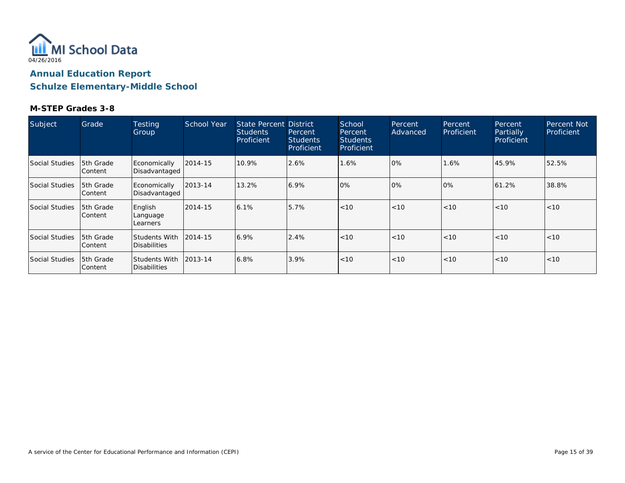

| Subject        | Grade                        | <b>Testing</b><br>Group                       | School Year | <b>State Percent District</b><br><b>Students</b><br>Proficient | Percent<br><b>Students</b><br>Proficient | School<br>Percent<br><b>Students</b><br>Proficient | Percent<br>Advanced | Percent<br>Proficient | Percent.<br>Partially<br>Proficient | <b>Percent Not</b><br>Proficient |
|----------------|------------------------------|-----------------------------------------------|-------------|----------------------------------------------------------------|------------------------------------------|----------------------------------------------------|---------------------|-----------------------|-------------------------------------|----------------------------------|
| Social Studies | 15th Grade<br>Content        | Economically<br>Disadvantaged                 | 2014-15     | 10.9%                                                          | 2.6%                                     | 1.6%                                               | 0%                  | 1.6%                  | 45.9%                               | 52.5%                            |
| Social Studies | <b>5th Grade</b><br> Content | Economically<br>Disadvantaged                 | 2013-14     | 13.2%                                                          | 6.9%                                     | 10%                                                | 0%                  | 10%                   | 61.2%                               | 38.8%                            |
| Social Studies | 5th Grade<br>lContent        | English<br>Language<br>Learners               | 2014-15     | 6.1%                                                           | 5.7%                                     | < 10                                               | < 10                | < 10                  | < 10                                | < 10                             |
| Social Studies | 15th Grade<br>lContent       | Students With<br><b>Disabilities</b>          | 2014-15     | 6.9%                                                           | 2.4%                                     | < 10                                               | < 10                | < 10                  | < 10                                | < 10                             |
| Social Studies | 15th Grade<br> Content       | Students With 12013-14<br><b>Disabilities</b> |             | 6.8%                                                           | 3.9%                                     | < 10                                               | < 10                | < 10                  | < 10                                | < 10                             |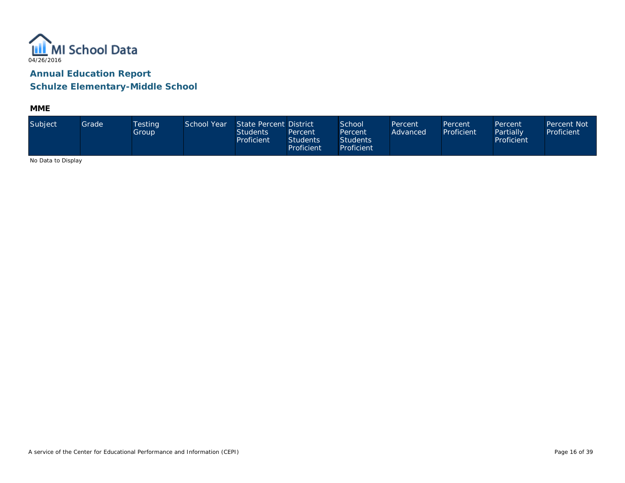

**MME**

| Subject                                                                                 | Grade | <b>Testing</b><br>Group | School Year | State Percent District<br><b>Students</b><br>Proficient | Percent<br><b>Students</b><br>Proficient | School<br>Percent<br><b>Students</b><br>Proficient | Percent<br>Advanced | Percent<br>Proficient | Percent<br>Partially<br>Proficient | Percent Not<br>Proficient |
|-----------------------------------------------------------------------------------------|-------|-------------------------|-------------|---------------------------------------------------------|------------------------------------------|----------------------------------------------------|---------------------|-----------------------|------------------------------------|---------------------------|
| $\mathbf{M}$ . $\mathbf{N}$ . $\mathbf{M}$ . $\mathbf{N}$ . $\mathbf{M}$ . $\mathbf{N}$ |       |                         |             |                                                         |                                          |                                                    |                     |                       |                                    |                           |

No Data to Display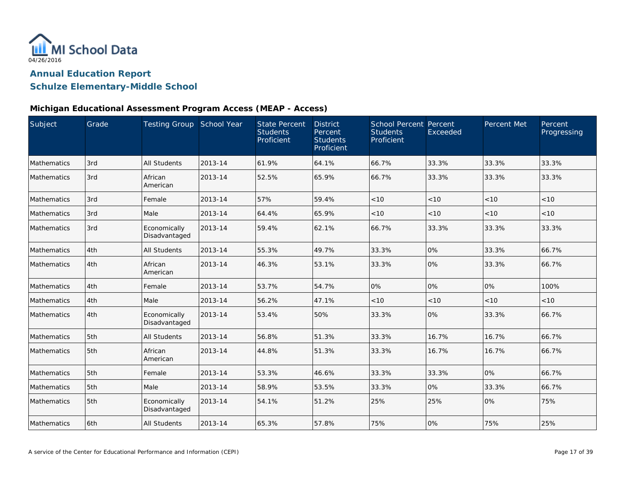

### **Schulze Elementary-Middle School**

| Subject     | Grade | Testing Group School Year     |         | <b>State Percent</b><br><b>Students</b><br>Proficient | <b>District</b><br>Percent<br><b>Students</b><br>Proficient | School Percent Percent<br><b>Students</b><br>Proficient | Exceeded | Percent Met | Percent<br>Progressing |
|-------------|-------|-------------------------------|---------|-------------------------------------------------------|-------------------------------------------------------------|---------------------------------------------------------|----------|-------------|------------------------|
| Mathematics | 3rd   | <b>All Students</b>           | 2013-14 | 61.9%                                                 | 64.1%                                                       | 66.7%                                                   | 33.3%    | 33.3%       | 33.3%                  |
| Mathematics | 3rd   | African<br>American           | 2013-14 | 52.5%                                                 | 65.9%                                                       | 66.7%                                                   | 33.3%    | 33.3%       | 33.3%                  |
| Mathematics | 3rd   | Female                        | 2013-14 | 57%                                                   | 59.4%                                                       | < 10                                                    | < 10     | < 10        | < 10                   |
| Mathematics | 3rd   | Male                          | 2013-14 | 64.4%                                                 | 65.9%                                                       | < 10                                                    | < 10     | < 10        | < 10                   |
| Mathematics | 3rd   | Economically<br>Disadvantaged | 2013-14 | 59.4%                                                 | 62.1%                                                       | 66.7%                                                   | 33.3%    | 33.3%       | 33.3%                  |
| Mathematics | 4th   | <b>All Students</b>           | 2013-14 | 55.3%                                                 | 49.7%                                                       | 33.3%                                                   | 0%       | 33.3%       | 66.7%                  |
| Mathematics | 4th   | African<br>American           | 2013-14 | 46.3%                                                 | 53.1%                                                       | 33.3%                                                   | 0%       | 33.3%       | 66.7%                  |
| Mathematics | 4th   | Female                        | 2013-14 | 53.7%                                                 | 54.7%                                                       | 0%                                                      | 0%       | 0%          | 100%                   |
| Mathematics | 4th   | Male                          | 2013-14 | 56.2%                                                 | 47.1%                                                       | < 10                                                    | < 10     | < 10        | < 10                   |
| Mathematics | 4th   | Economically<br>Disadvantaged | 2013-14 | 53.4%                                                 | 50%                                                         | 33.3%                                                   | 0%       | 33.3%       | 66.7%                  |
| Mathematics | 5th   | <b>All Students</b>           | 2013-14 | 56.8%                                                 | 51.3%                                                       | 33.3%                                                   | 16.7%    | 16.7%       | 66.7%                  |
| Mathematics | 5th   | African<br>American           | 2013-14 | 44.8%                                                 | 51.3%                                                       | 33.3%                                                   | 16.7%    | 16.7%       | 66.7%                  |
| Mathematics | 5th   | Female                        | 2013-14 | 53.3%                                                 | 46.6%                                                       | 33.3%                                                   | 33.3%    | 0%          | 66.7%                  |
| Mathematics | 5th   | Male                          | 2013-14 | 58.9%                                                 | 53.5%                                                       | 33.3%                                                   | 0%       | 33.3%       | 66.7%                  |
| Mathematics | 5th   | Economically<br>Disadvantaged | 2013-14 | 54.1%                                                 | 51.2%                                                       | 25%                                                     | 25%      | 0%          | 75%                    |
| Mathematics | 6th   | <b>All Students</b>           | 2013-14 | 65.3%                                                 | 57.8%                                                       | 75%                                                     | 0%       | 75%         | 25%                    |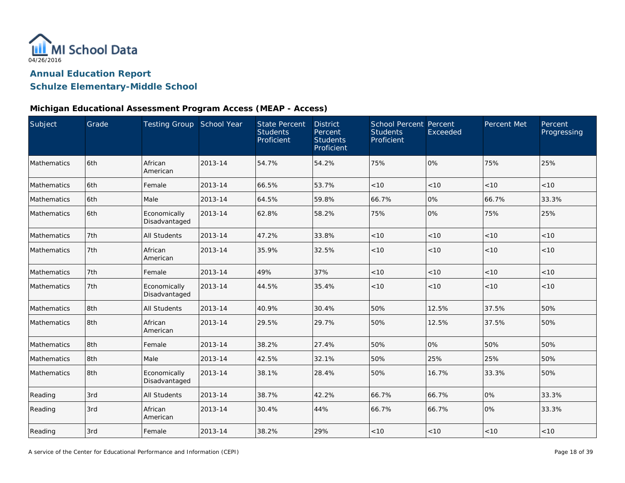

### **Schulze Elementary-Middle School**

| Subject            | Grade | Testing Group School Year     |         | <b>State Percent</b><br><b>Students</b><br>Proficient | <b>District</b><br>Percent<br><b>Students</b><br>Proficient | <b>School Percent Percent</b><br><b>Students</b><br>Proficient | Exceeded | Percent Met | Percent<br>Progressing |
|--------------------|-------|-------------------------------|---------|-------------------------------------------------------|-------------------------------------------------------------|----------------------------------------------------------------|----------|-------------|------------------------|
| Mathematics        | 6th   | African<br>American           | 2013-14 | 54.7%                                                 | 54.2%                                                       | 75%                                                            | 0%       | 75%         | 25%                    |
| Mathematics        | 6th   | Female                        | 2013-14 | 66.5%                                                 | 53.7%                                                       | $<10$                                                          | < 10     | < 10        | < 10                   |
| Mathematics        | 6th   | Male                          | 2013-14 | 64.5%                                                 | 59.8%                                                       | 66.7%                                                          | 0%       | 66.7%       | 33.3%                  |
| Mathematics        | 6th   | Economically<br>Disadvantaged | 2013-14 | 62.8%                                                 | 58.2%                                                       | 75%                                                            | 0%       | 75%         | 25%                    |
| Mathematics        | 7th   | <b>All Students</b>           | 2013-14 | 47.2%                                                 | 33.8%                                                       | < 10                                                           | < 10     | < 10        | < 10                   |
| <b>Mathematics</b> | 7th   | African<br>American           | 2013-14 | 35.9%                                                 | 32.5%                                                       | < 10                                                           | < 10     | < 10        | < 10                   |
| Mathematics        | 7th   | Female                        | 2013-14 | 49%                                                   | 37%                                                         | $<10$                                                          | $<10$    | $<10$       | < 10                   |
| Mathematics        | 7th   | Economically<br>Disadvantaged | 2013-14 | 44.5%                                                 | 35.4%                                                       | < 10                                                           | < 10     | < 10        | < 10                   |
| Mathematics        | 8th   | <b>All Students</b>           | 2013-14 | 40.9%                                                 | 30.4%                                                       | 50%                                                            | 12.5%    | 37.5%       | 50%                    |
| Mathematics        | 8th   | African<br>American           | 2013-14 | 29.5%                                                 | 29.7%                                                       | 50%                                                            | 12.5%    | 37.5%       | 50%                    |
| Mathematics        | 8th   | Female                        | 2013-14 | 38.2%                                                 | 27.4%                                                       | 50%                                                            | 0%       | 50%         | 50%                    |
| Mathematics        | 8th   | Male                          | 2013-14 | 42.5%                                                 | 32.1%                                                       | 50%                                                            | 25%      | 25%         | 50%                    |
| Mathematics        | 8th   | Economically<br>Disadvantaged | 2013-14 | 38.1%                                                 | 28.4%                                                       | 50%                                                            | 16.7%    | 33.3%       | 50%                    |
| Reading            | 3rd   | <b>All Students</b>           | 2013-14 | 38.7%                                                 | 42.2%                                                       | 66.7%                                                          | 66.7%    | 0%          | 33.3%                  |
| Reading            | 3rd   | African<br>American           | 2013-14 | 30.4%                                                 | 44%                                                         | 66.7%                                                          | 66.7%    | 0%          | 33.3%                  |
| Reading            | 3rd   | Female                        | 2013-14 | 38.2%                                                 | 29%                                                         | < 10                                                           | < 10     | < 10        | < 10                   |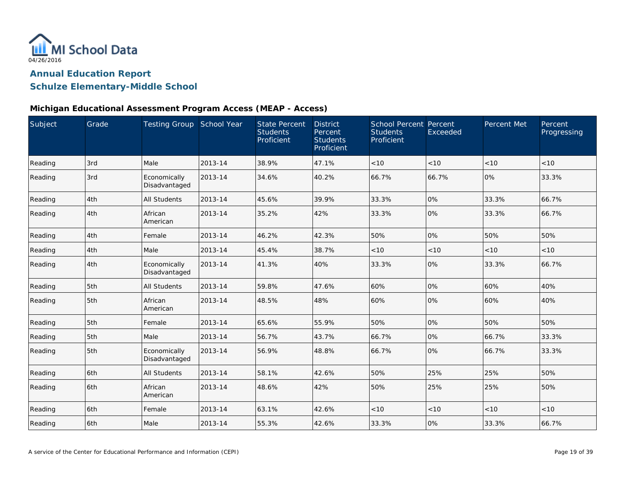

### **Schulze Elementary-Middle School**

| Subject | Grade | Testing Group School Year     |         | <b>State Percent</b><br><b>Students</b><br>Proficient | <b>District</b><br>Percent<br><b>Students</b><br>Proficient | <b>School Percent Percent</b><br><b>Students</b><br>Proficient | Exceeded | Percent Met | Percent<br>Progressing |
|---------|-------|-------------------------------|---------|-------------------------------------------------------|-------------------------------------------------------------|----------------------------------------------------------------|----------|-------------|------------------------|
| Reading | 3rd   | Male                          | 2013-14 | 38.9%                                                 | 47.1%                                                       | < 10                                                           | < 10     | < 10        | < 10                   |
| Reading | 3rd   | Economically<br>Disadvantaged | 2013-14 | 34.6%                                                 | 40.2%                                                       | 66.7%                                                          | 66.7%    | 0%          | 33.3%                  |
| Reading | 4th   | <b>All Students</b>           | 2013-14 | 45.6%                                                 | 39.9%                                                       | 33.3%                                                          | 0%       | 33.3%       | 66.7%                  |
| Reading | 4th   | African<br>American           | 2013-14 | 35.2%                                                 | 42%                                                         | 33.3%                                                          | 0%       | 33.3%       | 66.7%                  |
| Reading | 4th   | Female                        | 2013-14 | 46.2%                                                 | 42.3%                                                       | 50%                                                            | 0%       | 50%         | 50%                    |
| Reading | 4th   | Male                          | 2013-14 | 45.4%                                                 | 38.7%                                                       | < 10                                                           | < 10     | < 10        | <10                    |
| Reading | 4th   | Economically<br>Disadvantaged | 2013-14 | 41.3%                                                 | 40%                                                         | 33.3%                                                          | 0%       | 33.3%       | 66.7%                  |
| Reading | 5th   | <b>All Students</b>           | 2013-14 | 59.8%                                                 | 47.6%                                                       | 60%                                                            | 0%       | 60%         | 40%                    |
| Reading | 5th   | African<br>American           | 2013-14 | 48.5%                                                 | 48%                                                         | 60%                                                            | 0%       | 60%         | 40%                    |
| Reading | 5th   | Female                        | 2013-14 | 65.6%                                                 | 55.9%                                                       | 50%                                                            | 0%       | 50%         | 50%                    |
| Reading | 5th   | Male                          | 2013-14 | 56.7%                                                 | 43.7%                                                       | 66.7%                                                          | 0%       | 66.7%       | 33.3%                  |
| Reading | 5th   | Economically<br>Disadvantaged | 2013-14 | 56.9%                                                 | 48.8%                                                       | 66.7%                                                          | 0%       | 66.7%       | 33.3%                  |
| Reading | 6th   | All Students                  | 2013-14 | 58.1%                                                 | 42.6%                                                       | 50%                                                            | 25%      | 25%         | 50%                    |
| Reading | 6th   | African<br>American           | 2013-14 | 48.6%                                                 | 42%                                                         | 50%                                                            | 25%      | 25%         | 50%                    |
| Reading | 6th   | Female                        | 2013-14 | 63.1%                                                 | 42.6%                                                       | < 10                                                           | < 10     | $<10$       | < 10                   |
| Reading | 6th   | Male                          | 2013-14 | 55.3%                                                 | 42.6%                                                       | 33.3%                                                          | 0%       | 33.3%       | 66.7%                  |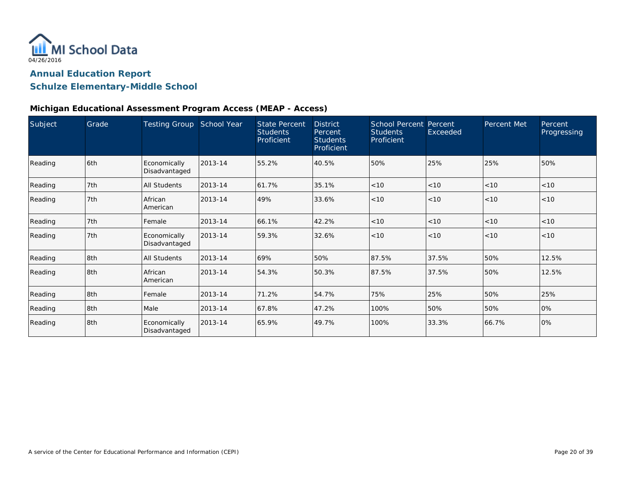

### **Schulze Elementary-Middle School**

| Subject | Grade | <b>Testing Group</b>          | School Year | <b>State Percent</b><br><b>Students</b><br>Proficient | <b>District</b><br>Percent<br><b>Students</b><br>Proficient | <b>School Percent</b><br><b>Students</b><br>Proficient | Percent<br>Exceeded | Percent Met | Percent<br>Progressing |
|---------|-------|-------------------------------|-------------|-------------------------------------------------------|-------------------------------------------------------------|--------------------------------------------------------|---------------------|-------------|------------------------|
| Reading | 6th   | Economically<br>Disadvantaged | 2013-14     | 55.2%                                                 | 40.5%                                                       | 50%                                                    | 25%                 | 25%         | 50%                    |
| Reading | 7th   | <b>All Students</b>           | 2013-14     | 61.7%                                                 | 35.1%                                                       | < 10                                                   | < 10                | < 10        | < 10                   |
| Reading | 7th   | African<br>American           | 2013-14     | 49%                                                   | 33.6%                                                       | < 10                                                   | < 10                | < 10        | < 10                   |
| Reading | 7th   | Female                        | 2013-14     | 66.1%                                                 | 42.2%                                                       | < 10                                                   | < 10                | < 10        | < 10                   |
| Reading | 7th   | Economically<br>Disadvantaged | 2013-14     | 59.3%                                                 | 32.6%                                                       | < 10                                                   | < 10                | < 10        | < 10                   |
| Reading | 8th   | <b>All Students</b>           | 2013-14     | 69%                                                   | 50%                                                         | 87.5%                                                  | 37.5%               | 50%         | 12.5%                  |
| Reading | 8th   | African<br>American           | 2013-14     | 54.3%                                                 | 50.3%                                                       | 87.5%                                                  | 37.5%               | 50%         | 12.5%                  |
| Reading | 8th   | Female                        | 2013-14     | 71.2%                                                 | 54.7%                                                       | 75%                                                    | 25%                 | 50%         | 25%                    |
| Reading | 8th   | Male                          | 2013-14     | 67.8%                                                 | 47.2%                                                       | 100%                                                   | 50%                 | 50%         | 0%                     |
| Reading | 8th   | Economically<br>Disadvantaged | 2013-14     | 65.9%                                                 | 49.7%                                                       | 100%                                                   | 33.3%               | 66.7%       | 0%                     |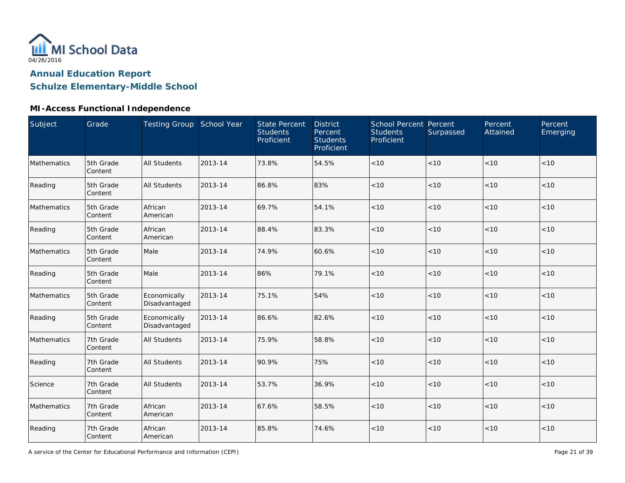

## **Schulze Elementary-Middle School**

### **MI-Access Functional Independence**

| Subject     | Grade                | Testing Group School Year     |         | <b>State Percent</b><br><b>Students</b><br>Proficient | <b>District</b><br>Percent<br><b>Students</b><br>Proficient | School Percent Percent<br><b>Students</b><br>Proficient | Surpassed | Percent<br>Attained | Percent<br>Emerging |
|-------------|----------------------|-------------------------------|---------|-------------------------------------------------------|-------------------------------------------------------------|---------------------------------------------------------|-----------|---------------------|---------------------|
| Mathematics | 5th Grade<br>Content | <b>All Students</b>           | 2013-14 | 73.8%                                                 | 54.5%                                                       | $<10$                                                   | < 10      | < 10                | < 10                |
| Reading     | 5th Grade<br>Content | <b>All Students</b>           | 2013-14 | 86.8%                                                 | 83%                                                         | < 10                                                    | < 10      | < 10                | < 10                |
| Mathematics | 5th Grade<br>Content | African<br>American           | 2013-14 | 69.7%                                                 | 54.1%                                                       | < 10                                                    | < 10      | < 10                | < 10                |
| Reading     | 5th Grade<br>Content | African<br>American           | 2013-14 | 88.4%                                                 | 83.3%                                                       | < 10                                                    | < 10      | < 10                | < 10                |
| Mathematics | 5th Grade<br>Content | Male                          | 2013-14 | 74.9%                                                 | 60.6%                                                       | < 10                                                    | < 10      | < 10                | < 10                |
| Reading     | 5th Grade<br>Content | Male                          | 2013-14 | 86%                                                   | 79.1%                                                       | $<10$                                                   | < 10      | < 10                | < 10                |
| Mathematics | 5th Grade<br>Content | Economically<br>Disadvantaged | 2013-14 | 75.1%                                                 | 54%                                                         | < 10                                                    | < 10      | < 10                | < 10                |
| Reading     | 5th Grade<br>Content | Economically<br>Disadvantaged | 2013-14 | 86.6%                                                 | 82.6%                                                       | < 10                                                    | < 10      | < 10                | < 10                |
| Mathematics | 7th Grade<br>Content | <b>All Students</b>           | 2013-14 | 75.9%                                                 | 58.8%                                                       | $<10$                                                   | < 10      | < 10                | < 10                |
| Reading     | 7th Grade<br>Content | <b>All Students</b>           | 2013-14 | 90.9%                                                 | 75%                                                         | $<10$                                                   | < 10      | < 10                | < 10                |
| Science     | 7th Grade<br>Content | <b>All Students</b>           | 2013-14 | 53.7%                                                 | 36.9%                                                       | $<10$                                                   | $<10$     | < 10                | < 10                |
| Mathematics | 7th Grade<br>Content | African<br>American           | 2013-14 | 67.6%                                                 | 58.5%                                                       | $<10$                                                   | < 10      | < 10                | < 10                |
| Reading     | 7th Grade<br>Content | African<br>American           | 2013-14 | 85.8%                                                 | 74.6%                                                       | < 10                                                    | $<10$     | < 10                | < 10                |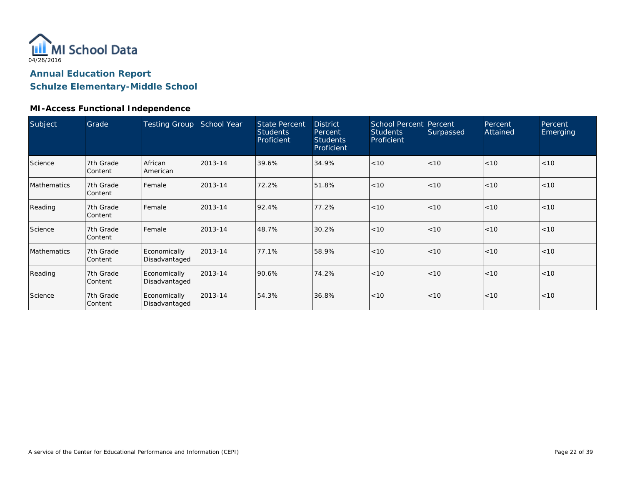

### **Schulze Elementary-Middle School**

### **MI-Access Functional Independence**

| Subject     | Grade                | <b>Testing Group</b>          | School Year | <b>State Percent</b><br><b>Students</b><br>Proficient | <b>District</b><br>Percent<br><b>Students</b><br>Proficient | <b>School Percent Percent</b><br><b>Students</b><br>Proficient | Surpassed | Percent<br>Attained | Percent<br>Emerging |
|-------------|----------------------|-------------------------------|-------------|-------------------------------------------------------|-------------------------------------------------------------|----------------------------------------------------------------|-----------|---------------------|---------------------|
| Science     | 7th Grade<br>Content | African<br>American           | 2013-14     | 39.6%                                                 | 34.9%                                                       | < 10                                                           | < 10      | < 10                | < 10                |
| Mathematics | 7th Grade<br>Content | Female                        | 2013-14     | 72.2%                                                 | 51.8%                                                       | < 10                                                           | < 10      | < 10                | < 10                |
| Reading     | 7th Grade<br>Content | Female                        | 2013-14     | 92.4%                                                 | 77.2%                                                       | < 10                                                           | < 10      | < 10                | < 10                |
| Science     | 7th Grade<br>Content | Female                        | 2013-14     | 48.7%                                                 | 30.2%                                                       | < 10                                                           | < 10      | < 10                | < 10                |
| Mathematics | 7th Grade<br>Content | Economically<br>Disadvantaged | 2013-14     | 77.1%                                                 | 58.9%                                                       | < 10                                                           | < 10      | < 10                | < 10                |
| Reading     | 7th Grade<br>Content | Economically<br>Disadvantaged | 2013-14     | 90.6%                                                 | 74.2%                                                       | < 10                                                           | < 10      | < 10                | < 10                |
| Science     | 7th Grade<br>Content | Economically<br>Disadvantaged | 2013-14     | 54.3%                                                 | 36.8%                                                       | < 10                                                           | < 10      | < 10                | < 10                |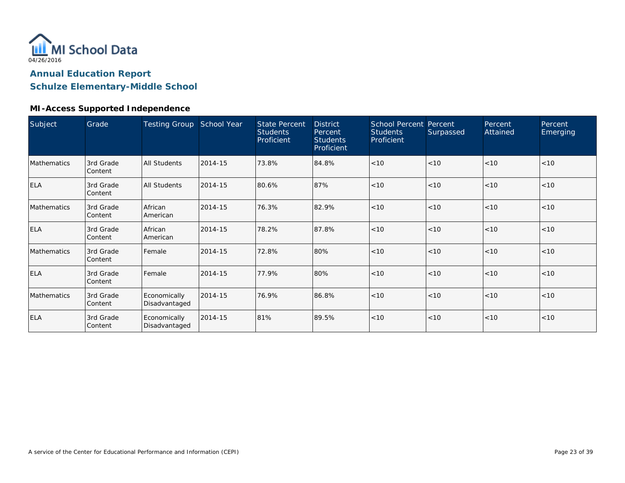

### **Schulze Elementary-Middle School**

#### **MI-Access Supported Independence**

| Subject     | Grade                | Testing Group School Year     |         | <b>State Percent</b><br><b>Students</b><br>Proficient | <b>District</b><br>Percent<br><b>Students</b><br>Proficient | School Percent Percent<br><b>Students</b><br>Proficient | Surpassed | Percent<br>Attained | Percent<br>Emerging |
|-------------|----------------------|-------------------------------|---------|-------------------------------------------------------|-------------------------------------------------------------|---------------------------------------------------------|-----------|---------------------|---------------------|
| Mathematics | 3rd Grade<br>Content | <b>All Students</b>           | 2014-15 | 73.8%                                                 | 84.8%                                                       | < 10                                                    | < 10      | < 10                | < 10                |
| <b>ELA</b>  | 3rd Grade<br>Content | <b>All Students</b>           | 2014-15 | 80.6%                                                 | 87%                                                         | < 10                                                    | < 10      | < 10                | < 10                |
| Mathematics | 3rd Grade<br>Content | African<br>American           | 2014-15 | 76.3%                                                 | 82.9%                                                       | < 10                                                    | < 10      | < 10                | < 10                |
| <b>ELA</b>  | 3rd Grade<br>Content | African<br>American           | 2014-15 | 78.2%                                                 | 87.8%                                                       | < 10                                                    | < 10      | < 10                | < 10                |
| Mathematics | 3rd Grade<br>Content | Female                        | 2014-15 | 72.8%                                                 | 80%                                                         | < 10                                                    | < 10      | < 10                | < 10                |
| <b>ELA</b>  | 3rd Grade<br>Content | Female                        | 2014-15 | 77.9%                                                 | 80%                                                         | < 10                                                    | < 10      | < 10                | < 10                |
| Mathematics | 3rd Grade<br>Content | Economically<br>Disadvantaged | 2014-15 | 76.9%                                                 | 86.8%                                                       | < 10                                                    | < 10      | < 10                | < 10                |
| <b>ELA</b>  | 3rd Grade<br>Content | Economically<br>Disadvantaged | 2014-15 | 81%                                                   | 89.5%                                                       | < 10                                                    | < 10      | $<10$               | < 10                |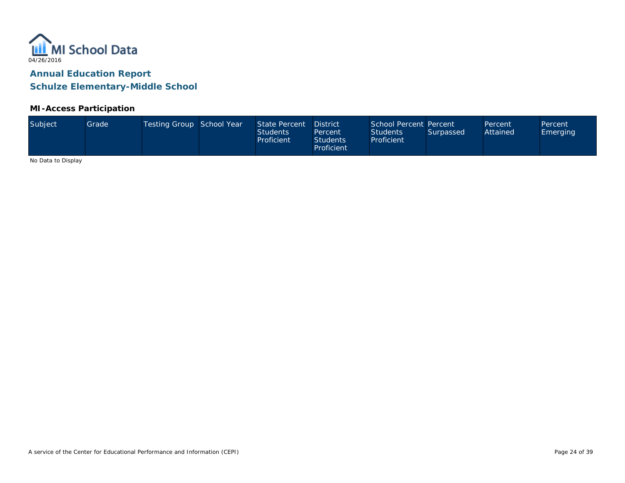

#### **MI-Access Participation**

| Subject<br>Testing Group School Year<br>State Percent<br>Grade <sup>1</sup><br>Attained<br><b>Students</b><br><b>Students</b><br>Surpassed<br><b>Emerging</b><br>Percent<br>Proficient<br>Proficient<br><b>Students</b><br>Proficient | School Percent Percent<br><b>District</b><br>Percent<br>Percent |
|---------------------------------------------------------------------------------------------------------------------------------------------------------------------------------------------------------------------------------------|-----------------------------------------------------------------|
|---------------------------------------------------------------------------------------------------------------------------------------------------------------------------------------------------------------------------------------|-----------------------------------------------------------------|

No Data to Display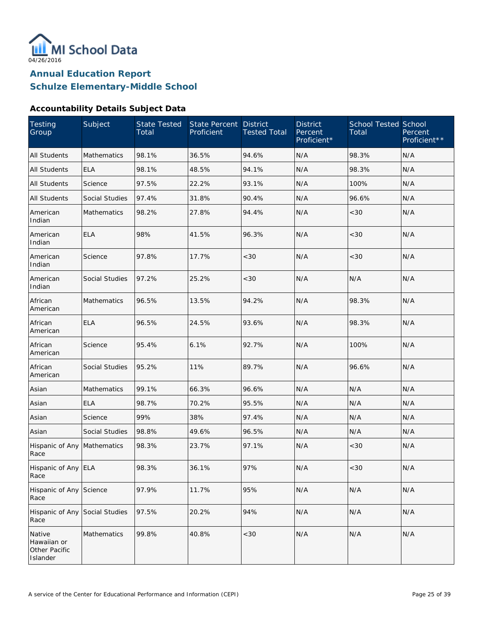

#### **Accountability Details Subject Data**

| Testing<br>Group                                   | Subject               | <b>State Tested</b><br>Total | State Percent<br>Proficient | <b>District</b><br><b>Tested Total</b> | <b>District</b><br>Percent<br>Proficient* | <b>School Tested School</b><br>Total | Percent<br>Proficient** |
|----------------------------------------------------|-----------------------|------------------------------|-----------------------------|----------------------------------------|-------------------------------------------|--------------------------------------|-------------------------|
| <b>All Students</b>                                | Mathematics           | 98.1%                        | 36.5%                       | 94.6%                                  | N/A                                       | 98.3%                                | N/A                     |
| All Students                                       | <b>ELA</b>            | 98.1%                        | 48.5%                       | 94.1%                                  | N/A                                       | 98.3%                                | N/A                     |
| All Students                                       | Science               | 97.5%                        | 22.2%                       | 93.1%                                  | N/A                                       | 100%                                 | N/A                     |
| All Students                                       | <b>Social Studies</b> | 97.4%                        | 31.8%                       | 90.4%                                  | N/A                                       | 96.6%                                | N/A                     |
| American<br>Indian                                 | Mathematics           | 98.2%                        | 27.8%                       | 94.4%                                  | N/A                                       | <30                                  | N/A                     |
| American<br>Indian                                 | <b>ELA</b>            | 98%                          | 41.5%                       | 96.3%                                  | N/A                                       | <30                                  | N/A                     |
| American<br>Indian                                 | Science               | 97.8%                        | 17.7%                       | <30                                    | N/A                                       | <30                                  | N/A                     |
| American<br>Indian                                 | Social Studies        | 97.2%                        | 25.2%                       | <30                                    | N/A                                       | N/A                                  | N/A                     |
| African<br>American                                | Mathematics           | 96.5%                        | 13.5%                       | 94.2%                                  | N/A                                       | 98.3%                                | N/A                     |
| African<br>American                                | <b>ELA</b>            | 96.5%                        | 24.5%                       | 93.6%                                  | N/A                                       | 98.3%                                | N/A                     |
| African<br>American                                | Science               | 95.4%                        | 6.1%                        | 92.7%                                  | N/A                                       | 100%                                 | N/A                     |
| African<br>American                                | Social Studies        | 95.2%                        | 11%                         | 89.7%                                  | N/A                                       | 96.6%                                | N/A                     |
| Asian                                              | Mathematics           | 99.1%                        | 66.3%                       | 96.6%                                  | N/A                                       | N/A                                  | N/A                     |
| Asian                                              | <b>ELA</b>            | 98.7%                        | 70.2%                       | 95.5%                                  | N/A                                       | N/A                                  | N/A                     |
| Asian                                              | Science               | 99%                          | 38%                         | 97.4%                                  | N/A                                       | N/A                                  | N/A                     |
| Asian                                              | <b>Social Studies</b> | 98.8%                        | 49.6%                       | 96.5%                                  | N/A                                       | N/A                                  | N/A                     |
| Hispanic of Any<br>Race                            | Mathematics           | 98.3%                        | 23.7%                       | 97.1%                                  | N/A                                       | <30                                  | N/A                     |
| Hispanic of Any ELA<br>Race                        |                       | 98.3%                        | 36.1%                       | 97%                                    | N/A                                       | $<30$                                | N/A                     |
| Hispanic of Any<br>Race                            | Science               | 97.9%                        | 11.7%                       | 95%                                    | N/A                                       | N/A                                  | N/A                     |
| Hispanic of Any Social Studies<br>Race             |                       | 97.5%                        | 20.2%                       | 94%                                    | N/A                                       | N/A                                  | N/A                     |
| Native<br>Hawaiian or<br>Other Pacific<br>Islander | Mathematics           | 99.8%                        | 40.8%                       | $<30$                                  | N/A                                       | N/A                                  | N/A                     |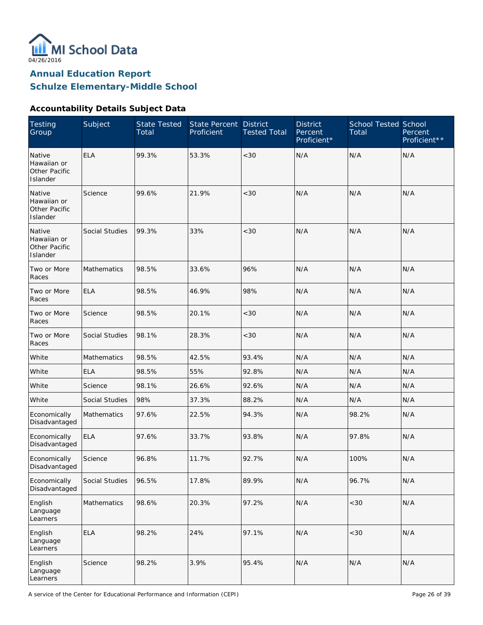

#### **Accountability Details Subject Data**

| <b>Testing</b><br>Group                                   | Subject            | <b>State Tested</b><br>Total | State Percent<br>Proficient | <b>District</b><br><b>Tested Total</b> | <b>District</b><br>Percent<br>Proficient* | <b>School Tested School</b><br>Total | Percent<br>Proficient** |
|-----------------------------------------------------------|--------------------|------------------------------|-----------------------------|----------------------------------------|-------------------------------------------|--------------------------------------|-------------------------|
| Native<br>Hawaiian or<br><b>Other Pacific</b><br>Islander | <b>ELA</b>         | 99.3%                        | 53.3%                       | < 30                                   | N/A                                       | N/A                                  | N/A                     |
| Native<br>Hawaiian or<br>Other Pacific<br>Islander        | Science            | 99.6%                        | 21.9%                       | < 30                                   | N/A                                       | N/A                                  | N/A                     |
| Native<br>Hawaiian or<br>Other Pacific<br>Islander        | Social Studies     | 99.3%                        | 33%                         | < 30                                   | N/A                                       | N/A                                  | N/A                     |
| Two or More<br>Races                                      | Mathematics        | 98.5%                        | 33.6%                       | 96%                                    | N/A                                       | N/A                                  | N/A                     |
| Two or More<br>Races                                      | <b>ELA</b>         | 98.5%                        | 46.9%                       | 98%                                    | N/A                                       | N/A                                  | N/A                     |
| Two or More<br>Races                                      | Science            | 98.5%                        | 20.1%                       | $<30$                                  | N/A                                       | N/A                                  | N/A                     |
| Two or More<br>Races                                      | Social Studies     | 98.1%                        | 28.3%                       | $<30$                                  | N/A                                       | N/A                                  | N/A                     |
| White                                                     | <b>Mathematics</b> | 98.5%                        | 42.5%                       | 93.4%                                  | N/A                                       | N/A                                  | N/A                     |
| White                                                     | <b>ELA</b>         | 98.5%                        | 55%                         | 92.8%                                  | N/A                                       | N/A                                  | N/A                     |
| White                                                     | Science            | 98.1%                        | 26.6%                       | 92.6%                                  | N/A                                       | N/A                                  | N/A                     |
| White                                                     | Social Studies     | 98%                          | 37.3%                       | 88.2%                                  | N/A                                       | N/A                                  | N/A                     |
| Economically<br>Disadvantaged                             | <b>Mathematics</b> | 97.6%                        | 22.5%                       | 94.3%                                  | N/A                                       | 98.2%                                | N/A                     |
| Economically<br>Disadvantaged                             | <b>ELA</b>         | 97.6%                        | 33.7%                       | 93.8%                                  | N/A                                       | 97.8%                                | N/A                     |
| Economically<br>Disadvantaged                             | Science            | 96.8%                        | 11.7%                       | 92.7%                                  | N/A                                       | 100%                                 | N/A                     |
| Economically<br>Disadvantaged                             | Social Studies     | 96.5%                        | 17.8%                       | 89.9%                                  | N/A                                       | 96.7%                                | N/A                     |
| English<br>Language<br>Learners                           | Mathematics        | 98.6%                        | 20.3%                       | 97.2%                                  | N/A                                       | $<30$                                | N/A                     |
| English<br>Language<br>Learners                           | <b>ELA</b>         | 98.2%                        | 24%                         | 97.1%                                  | N/A                                       | <30                                  | N/A                     |
| English<br>Language<br>Learners                           | Science            | 98.2%                        | 3.9%                        | 95.4%                                  | N/A                                       | N/A                                  | N/A                     |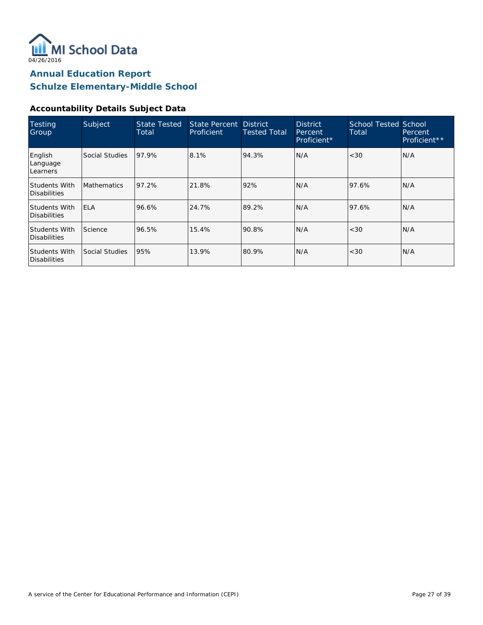

#### **Accountability Details Subject Data**

| Testing<br>Group                     | Subject            | <b>State Tested</b><br>Total | State Percent District<br>Proficient | <b>Tested Total</b> | <b>District</b><br>Percent<br>Proficient* | <b>School Tested School</b><br>Total | Percent<br>Proficient** |
|--------------------------------------|--------------------|------------------------------|--------------------------------------|---------------------|-------------------------------------------|--------------------------------------|-------------------------|
| English<br>Language<br>Learners      | Social Studies     | 97.9%                        | 8.1%                                 | 94.3%               | N/A                                       | < 30                                 | N/A                     |
| Students With<br>Disabilities        | <b>Mathematics</b> | 97.2%                        | 21.8%                                | 92%                 | N/A                                       | 97.6%                                | N/A                     |
| Students With<br>Disabilities        | <b>ELA</b>         | 96.6%                        | 24.7%                                | 89.2%               | N/A                                       | 97.6%                                | N/A                     |
| Students With<br>Disabilities        | Science            | 96.5%                        | 15.4%                                | 90.8%               | N/A                                       | < 30                                 | N/A                     |
| Students With<br><b>Disabilities</b> | Social Studies     | 95%                          | 13.9%                                | 80.9%               | N/A                                       | < 30                                 | N/A                     |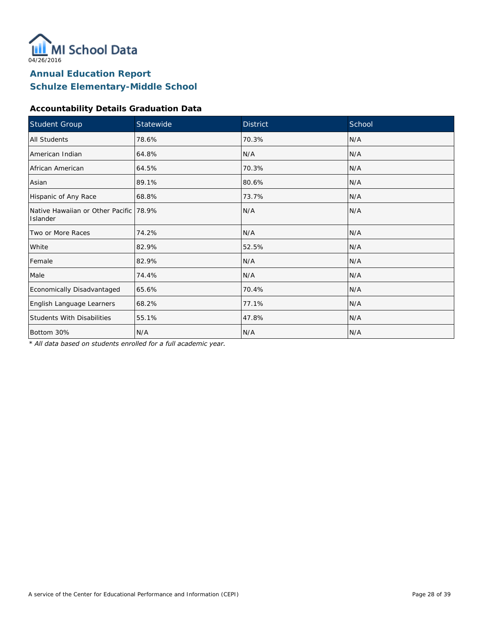

### **Accountability Details Graduation Data**

| Student Group                                      | Statewide | <b>District</b> | School |  |
|----------------------------------------------------|-----------|-----------------|--------|--|
| <b>All Students</b>                                | 78.6%     | 70.3%           | N/A    |  |
| American Indian                                    | 64.8%     | N/A             | N/A    |  |
| African American                                   | 64.5%     | 70.3%           | N/A    |  |
| Asian                                              | 89.1%     | 80.6%           | N/A    |  |
| Hispanic of Any Race                               | 68.8%     | 73.7%           | N/A    |  |
| Native Hawaiian or Other Pacific 78.9%<br>Islander |           | N/A             | N/A    |  |
| Two or More Races                                  | 74.2%     | N/A             | N/A    |  |
| White                                              | 82.9%     | 52.5%           | N/A    |  |
| Female                                             | 82.9%     | N/A             | N/A    |  |
| Male                                               | 74.4%     | N/A             | N/A    |  |
| Economically Disadvantaged                         | 65.6%     | 70.4%           | N/A    |  |
| English Language Learners                          | 68.2%     | 77.1%           | N/A    |  |
| <b>Students With Disabilities</b>                  | 55.1%     | 47.8%           | N/A    |  |
| Bottom 30%                                         | N/A       | N/A             | N/A    |  |

*\* All data based on students enrolled for a full academic year.*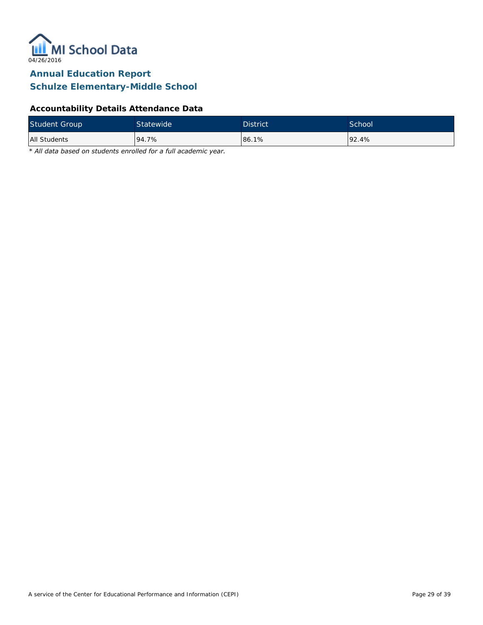

### **Accountability Details Attendance Data**

| <b>Student Group</b> | Statewide <sup>1</sup> | <b>District</b> | School <sup>'</sup> |
|----------------------|------------------------|-----------------|---------------------|
| All Students         | 94.7%                  | 86.1%           | 192.4%              |

*\* All data based on students enrolled for a full academic year.*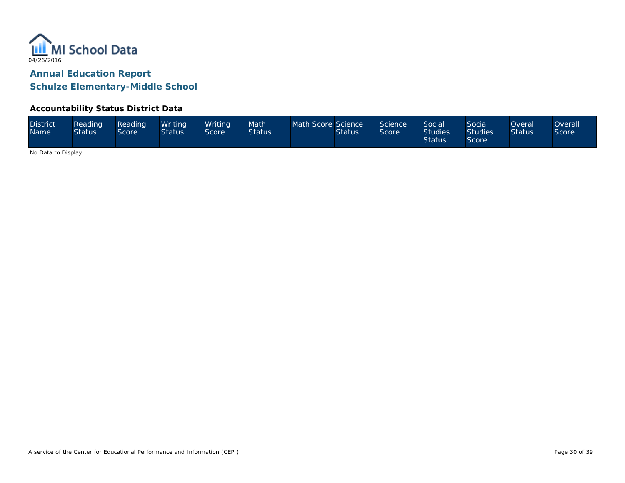

#### **Accountability Status District Data**

| <b>District</b><br><b>Name</b> | Reading<br><b>Status</b> | Reading<br>Score | Writina<br><b>Status</b> | Writina<br>Score | Math<br><b>Status</b> | Math Score Science | <b>Status</b> | Science<br>Score | Social <sup>1</sup><br><b>Studies</b><br><b>Status</b> | <b>Social</b><br><b>Studies</b><br>Score | Overall <sup>1</sup><br><b>Status</b> | <b>Overall</b><br>Score <sup>®</sup> |
|--------------------------------|--------------------------|------------------|--------------------------|------------------|-----------------------|--------------------|---------------|------------------|--------------------------------------------------------|------------------------------------------|---------------------------------------|--------------------------------------|
|--------------------------------|--------------------------|------------------|--------------------------|------------------|-----------------------|--------------------|---------------|------------------|--------------------------------------------------------|------------------------------------------|---------------------------------------|--------------------------------------|

No Data to Display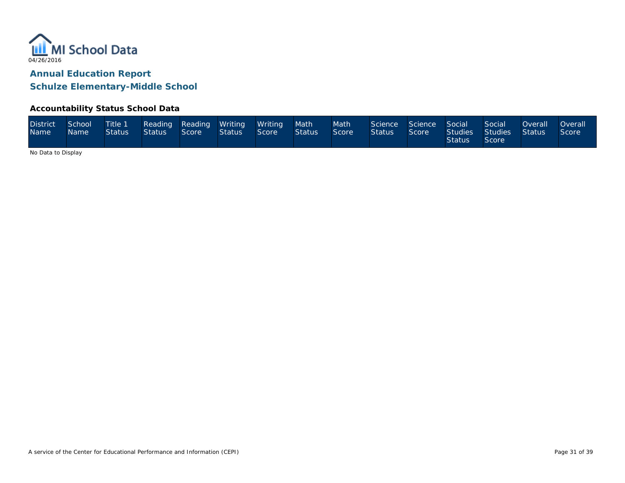

#### **Accountability Status School Data**

| <b>District</b><br><b>Name</b> | School<br>Name \ | Status Status Score |  |  | Title 1 Reading Reading Writing Writing<br>$St$ Status | Score | <b>Nath</b><br><b>Status</b> | Math <sup>1</sup><br>Score | Science Science Social<br><b>Status</b> | Score | <b>Status</b> | Social<br>Studies Studies Status<br>Score | <b>Example 20 Overall</b> | <b>Overall</b><br>Score |
|--------------------------------|------------------|---------------------|--|--|--------------------------------------------------------|-------|------------------------------|----------------------------|-----------------------------------------|-------|---------------|-------------------------------------------|---------------------------|-------------------------|
|--------------------------------|------------------|---------------------|--|--|--------------------------------------------------------|-------|------------------------------|----------------------------|-----------------------------------------|-------|---------------|-------------------------------------------|---------------------------|-------------------------|

No Data to Display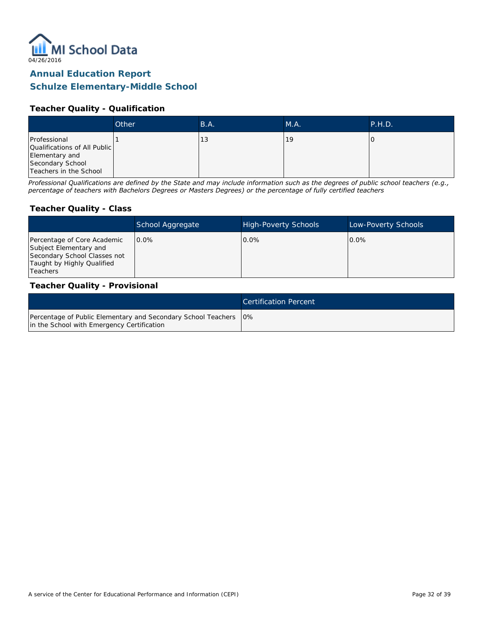

#### **Teacher Quality - Qualification**

|                                                                                                              | Other | B.A. | M.A. | P.H.D. |
|--------------------------------------------------------------------------------------------------------------|-------|------|------|--------|
| Professional<br>Qualifications of All Public<br>Elementary and<br>Secondary School<br>Teachers in the School |       | 13   | 19   |        |

*Professional Qualifications are defined by the State and may include information such as the degrees of public school teachers (e.g., percentage of teachers with Bachelors Degrees or Masters Degrees) or the percentage of fully certified teachers*

#### **Teacher Quality - Class**

|                                                                                                                                   | School Aggregate | <b>High-Poverty Schools</b> | Low-Poverty Schools |
|-----------------------------------------------------------------------------------------------------------------------------------|------------------|-----------------------------|---------------------|
| Percentage of Core Academic<br>Subject Elementary and<br>Secondary School Classes not<br>Taught by Highly Qualified<br>l Teachers | $0.0\%$          | $0.0\%$                     | $0.0\%$             |

#### **Teacher Quality - Provisional**

|                                                                                                                  | <b>Certification Percent</b> |
|------------------------------------------------------------------------------------------------------------------|------------------------------|
| Percentage of Public Elementary and Secondary School Teachers   0%<br>in the School with Emergency Certification |                              |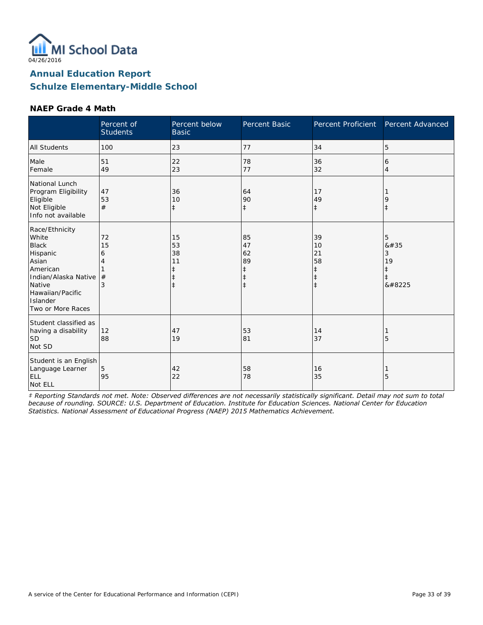

#### **NAEP Grade 4 Math**

|                                                                                                                                                                 | Percent of<br><b>Students</b> | Percent below<br><b>Basic</b>                                  | Percent Basic                                | Percent Proficient                                             | Percent Advanced                     |
|-----------------------------------------------------------------------------------------------------------------------------------------------------------------|-------------------------------|----------------------------------------------------------------|----------------------------------------------|----------------------------------------------------------------|--------------------------------------|
| <b>All Students</b>                                                                                                                                             | 100                           | 23                                                             | 77                                           | 34                                                             | 5                                    |
| Male<br>Female                                                                                                                                                  | 51<br>49                      | 22<br>23                                                       | 78<br>77                                     | 36<br>32                                                       | 6<br>$\overline{4}$                  |
| National Lunch<br>Program Eligibility<br>Eligible<br>Not Eligible<br>Info not available                                                                         | 47<br>53<br>#                 | 36<br>10<br>$\ddagger$                                         | 64<br>90<br>$\ddagger$                       | 17<br>49<br>$\ddagger$                                         | 9<br>$\ddagger$                      |
| Race/Ethnicity<br>White<br><b>Black</b><br>Hispanic<br>Asian<br>American<br>Indian/Alaska Native<br>Native<br>Hawaiian/Pacific<br>Islander<br>Two or More Races | 72<br>15<br>6<br>4<br>#<br>3  | 15<br>53<br>38<br>11<br>$\ddagger$<br>$\ddagger$<br>$\ddagger$ | 85<br>47<br>62<br>89<br>ŧ<br>ŧ<br>$\ddagger$ | 39<br>10<br>21<br>58<br>$\ddagger$<br>$\ddagger$<br>$\ddagger$ | 5<br>#<br>3<br>19<br>$\ddagger$<br>‡ |
| Student classified as<br>having a disability<br>SD <sup> </sup><br>Not SD                                                                                       | 12<br>88                      | 47<br>19                                                       | 53<br>81                                     | 14<br>37                                                       | 5                                    |
| Student is an English<br>Language Learner<br><b>ELL</b><br>Not ELL                                                                                              | 5<br>95                       | 42<br>22                                                       | 58<br>78                                     | 16<br>35                                                       | 5                                    |

*‡ Reporting Standards not met. Note: Observed differences are not necessarily statistically significant. Detail may not sum to total because of rounding. SOURCE: U.S. Department of Education. Institute for Education Sciences. National Center for Education Statistics. National Assessment of Educational Progress (NAEP) 2015 Mathematics Achievement.*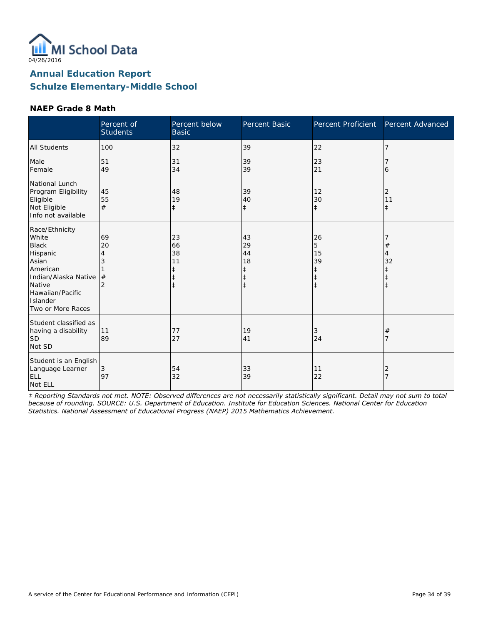

#### **NAEP Grade 8 Math**

|                                                                                                                                                                 | Percent of<br><b>Students</b> | Percent below<br><b>Basic</b>                                  | Percent Basic                                         | Percent Proficient                                            | Percent Advanced                            |
|-----------------------------------------------------------------------------------------------------------------------------------------------------------------|-------------------------------|----------------------------------------------------------------|-------------------------------------------------------|---------------------------------------------------------------|---------------------------------------------|
| <b>All Students</b>                                                                                                                                             | 100                           | 32                                                             | 39                                                    | 22                                                            | 7                                           |
| Male<br>Female                                                                                                                                                  | 51<br>49                      | 31<br>34                                                       | 39<br>39                                              | 23<br>21                                                      | 6                                           |
| National Lunch<br>Program Eligibility<br>Eligible<br>Not Eligible<br>Info not available                                                                         | 45<br>55<br>#                 | 48<br>19<br>$\ddagger$                                         | 39<br>40<br>$\ddagger$                                | 12<br>30<br>$\ddagger$                                        | 2<br>11<br>$\ddagger$                       |
| Race/Ethnicity<br>White<br><b>Black</b><br>Hispanic<br>Asian<br>American<br>Indian/Alaska Native<br>Native<br>Hawaiian/Pacific<br>Islander<br>Two or More Races | 69<br>20<br>4<br>3<br>#<br>2  | 23<br>66<br>38<br>11<br>$\ddagger$<br>$\ddagger$<br>$\ddagger$ | 43<br>29<br>44<br>18<br>ŧ<br>$\ddagger$<br>$\ddagger$ | 26<br>5<br>15<br>39<br>$\ddagger$<br>$\ddagger$<br>$\ddagger$ | $\#$<br>4<br>32<br>$\ddagger$<br>$\ddagger$ |
| Student classified as<br>having a disability<br>SD <sup> </sup><br>Not SD                                                                                       | 11<br>89                      | 77<br>27                                                       | 19<br>41                                              | 3<br>24                                                       | $\#$                                        |
| Student is an English<br>Language Learner<br>ELL<br>Not ELL                                                                                                     | 3<br>97                       | 54<br>32                                                       | 33<br>39                                              | 11<br>22                                                      | 2                                           |

*‡ Reporting Standards not met. NOTE: Observed differences are not necessarily statistically significant. Detail may not sum to total because of rounding. SOURCE: U.S. Department of Education. Institute for Education Sciences. National Center for Education Statistics. National Assessment of Educational Progress (NAEP) 2015 Mathematics Achievement.*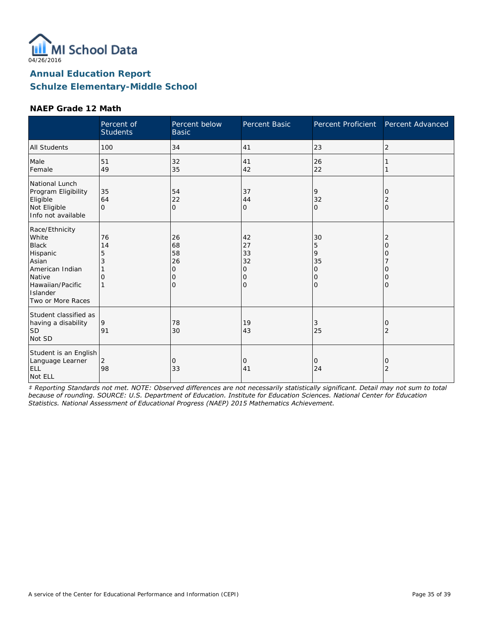

#### **NAEP Grade 12 Math**

|                                                                                                                                                | Percent of<br><b>Students</b>  | Percent below<br><b>Basic</b>              | <b>Percent Basic</b>                | Percent Proficient                             | Percent Advanced                  |
|------------------------------------------------------------------------------------------------------------------------------------------------|--------------------------------|--------------------------------------------|-------------------------------------|------------------------------------------------|-----------------------------------|
| <b>All Students</b>                                                                                                                            | 100                            | 34                                         | 41                                  | 23                                             | $\overline{2}$                    |
| Male<br>Female                                                                                                                                 | 51<br>49                       | 32<br>35                                   | 41<br>42                            | 26<br>22                                       |                                   |
| National Lunch<br>Program Eligibility<br>Eligible<br>Not Eligible<br>Info not available                                                        | 35<br>64<br>$\Omega$           | 54<br>22<br>$\overline{O}$                 | 37<br>44<br>0                       | 9<br>32<br>$\circ$                             | $\Omega$<br>2<br>$\Omega$         |
| Race/Ethnicity<br>White<br><b>Black</b><br>Hispanic<br>Asian<br>American Indian<br>Native<br>Hawaiian/Pacific<br>Islander<br>Two or More Races | 76<br>14<br>5<br>3<br>$\Omega$ | 26<br>68<br>58<br>26<br>O<br>Ω<br>$\Omega$ | 42<br>27<br>33<br>32<br>0<br>0<br>0 | 30<br>5<br>9<br>35<br>0<br>$\circ$<br>$\Omega$ | 2<br>O<br>Ω<br>O<br>O<br>$\Omega$ |
| Student classified as<br>having a disability<br> SD<br>Not SD                                                                                  | 9<br>91                        | 78<br>30                                   | 19<br>43                            | 3<br>25                                        | 0<br>2                            |
| Student is an English<br>Language Learner<br><b>ELL</b><br>Not ELL                                                                             | $\overline{2}$<br>98           | 0<br>33                                    | 0<br>41                             | 0<br>24                                        | 0<br>2                            |

*‡ Reporting Standards not met. NOTE: Observed differences are not necessarily statistically significant. Detail may not sum to total because of rounding. SOURCE: U.S. Department of Education. Institute for Education Sciences. National Center for Education Statistics. National Assessment of Educational Progress (NAEP) 2015 Mathematics Achievement.*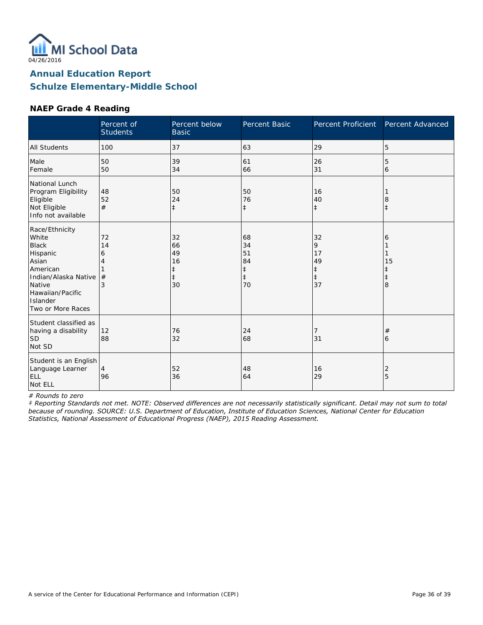

#### **NAEP Grade 4 Reading**

|                                                                                                                                                                        | Percent of<br><b>Students</b> | Percent below<br><b>Basic</b>                          | Percent Basic                                          | Percent Proficient                           | Percent Advanced           |
|------------------------------------------------------------------------------------------------------------------------------------------------------------------------|-------------------------------|--------------------------------------------------------|--------------------------------------------------------|----------------------------------------------|----------------------------|
| All Students                                                                                                                                                           | 100                           | 37                                                     | 63                                                     | 29                                           | 5                          |
| Male<br>Female                                                                                                                                                         | 50<br>50                      | 39<br>34                                               | 61<br>66                                               | 26<br>31                                     | 5<br>6                     |
| National Lunch<br>Program Eligibility<br>Eligible<br>Not Eligible<br>Info not available                                                                                | 48<br>52<br>#                 | 50<br>24<br>$\ddagger$                                 | 50<br>76<br>$\ddagger$                                 | 16<br>40<br>$\ddagger$                       | 8<br>$\ddagger$            |
| Race/Ethnicity<br>White<br><b>Black</b><br>Hispanic<br>Asian<br>American<br>Indian/Alaska Native<br>Native<br>Hawaiian/Pacific<br><b>Islander</b><br>Two or More Races | 72<br>14<br>6<br>#<br>3       | 32<br>66<br>49<br>16<br>$\ddagger$<br>$\ddagger$<br>30 | 68<br>34<br>51<br>84<br>$\ddagger$<br>$\ddagger$<br>70 | 32<br>9<br>17<br>49<br>‡<br>$\ddagger$<br>37 | 6<br>15<br>$\ddagger$<br>8 |
| Student classified as<br>having a disability<br><b>SD</b><br>Not SD                                                                                                    | 12<br>88                      | 76<br>32                                               | 24<br>68                                               | 7<br>31                                      | #<br>6                     |
| Student is an English<br>Language Learner<br>ELL<br>Not ELL                                                                                                            | $\overline{4}$<br>96          | 52<br>36                                               | 48<br>64                                               | 16<br>29                                     | 2<br>5                     |

*# Rounds to zero*

*‡ Reporting Standards not met. NOTE: Observed differences are not necessarily statistically significant. Detail may not sum to total because of rounding. SOURCE: U.S. Department of Education, Institute of Education Sciences, National Center for Education Statistics, National Assessment of Educational Progress (NAEP), 2015 Reading Assessment.*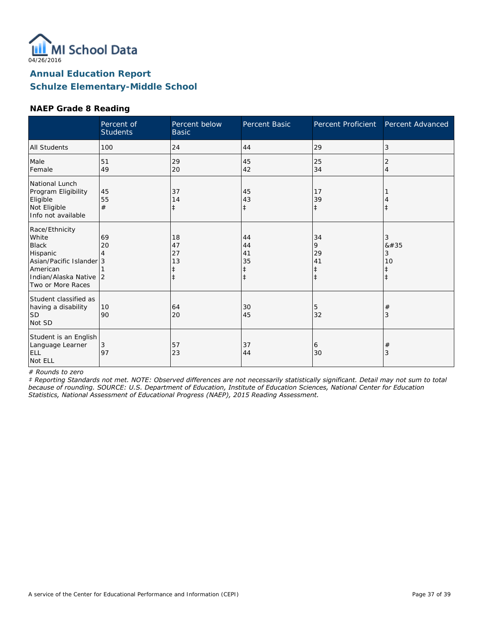

### **NAEP Grade 8 Reading**

|                                                                                                                                          | Percent of<br><b>Students</b> | Percent below<br><b>Basic</b>           | <b>Percent Basic</b>                    | Percent Proficient                | Percent Advanced                     |
|------------------------------------------------------------------------------------------------------------------------------------------|-------------------------------|-----------------------------------------|-----------------------------------------|-----------------------------------|--------------------------------------|
| <b>All Students</b>                                                                                                                      | 100                           | 24                                      | 44                                      | 29                                | 3                                    |
| Male<br>Female                                                                                                                           | 51<br>49                      | 29<br>20                                | 45<br>42                                | 25<br>34                          | 2<br>$\overline{4}$                  |
| National Lunch<br>Program Eligibility<br>Eligible<br>Not Eligible<br>Info not available                                                  | 45<br>55<br>#                 | 37<br>14<br>ŧ                           | 45<br>43<br>ŧ                           | 17<br>39<br>$\ddagger$            |                                      |
| Race/Ethnicity<br>White<br><b>Black</b><br>Hispanic<br>Asian/Pacific Islander 3<br>American<br>Indian/Alaska Native<br>Two or More Races | 69<br>20<br>4<br>2            | 18<br>47<br>27<br>13<br>ŧ<br>$\ddagger$ | 44<br>44<br>41<br>35<br>ŧ<br>$\ddagger$ | 34<br>9<br>29<br>41<br>$\ddagger$ | 3<br>#<br>3<br>10<br>ŧ<br>$\ddagger$ |
| Student classified as<br>having a disability<br><b>SD</b><br>Not SD                                                                      | 10<br>90                      | 64<br>20                                | 30<br>45                                | 5<br>32                           | $^{\#}$<br>3                         |
| Student is an English<br>Language Learner<br>ELL<br>Not ELL                                                                              | $\mathfrak{Z}$<br>97          | 57<br>23                                | 37<br>44                                | 6<br>30                           | $\#$<br>3                            |

*# Rounds to zero*

*‡ Reporting Standards not met. NOTE: Observed differences are not necessarily statistically significant. Detail may not sum to total because of rounding. SOURCE: U.S. Department of Education, Institute of Education Sciences, National Center for Education Statistics, National Assessment of Educational Progress (NAEP), 2015 Reading Assessment.*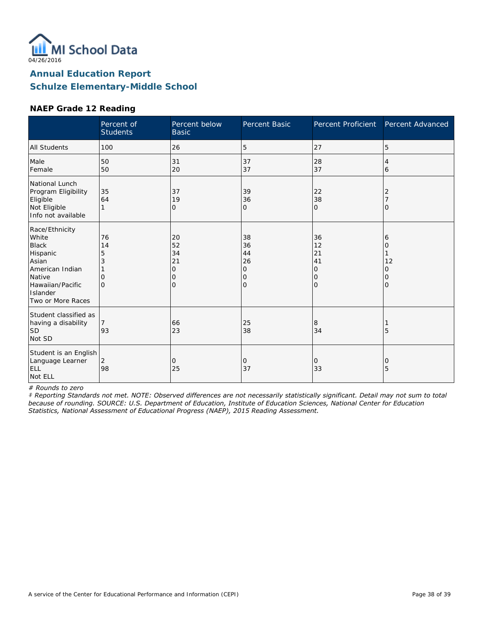

#### **NAEP Grade 12 Reading**

|                                                                                                                                                | Percent of<br><b>Students</b>       | Percent below<br><b>Basic</b>              | Percent Basic                             | Percent Proficient                         | Percent Advanced                   |
|------------------------------------------------------------------------------------------------------------------------------------------------|-------------------------------------|--------------------------------------------|-------------------------------------------|--------------------------------------------|------------------------------------|
| <b>All Students</b>                                                                                                                            | 100                                 | 26                                         | 5                                         | 27                                         | 5                                  |
| Male<br>Female                                                                                                                                 | 50<br>50                            | 31<br>20                                   | 37<br>37                                  | 28<br>37                                   | 4<br>6                             |
| National Lunch<br>Program Eligibility<br>Eligible<br>Not Eligible<br>Info not available                                                        | 35<br>64                            | 37<br>19<br>O                              | 39<br>36<br>0                             | 22<br>38<br>$\mathbf{O}$                   | 2<br>$\Omega$                      |
| Race/Ethnicity<br>White<br><b>Black</b><br>Hispanic<br>Asian<br>American Indian<br>Native<br>Hawaiian/Pacific<br>Islander<br>Two or More Races | 76<br>14<br>5<br>3<br>O<br>$\Omega$ | 20<br>52<br>34<br>21<br>O<br>0<br>$\Omega$ | 38<br>36<br>44<br>26<br>0<br>0<br>$\circ$ | 36<br>12<br>21<br>41<br>0<br>0<br>$\Omega$ | 6<br>Ω<br>12<br>0<br>0<br>$\Omega$ |
| Student classified as<br>having a disability<br><b>SD</b><br>Not SD                                                                            | 93                                  | 66<br>23                                   | 25<br>38                                  | 8<br>34                                    | 5                                  |
| Student is an English<br>Language Learner<br>ELL<br>Not ELL                                                                                    | 2<br>98                             | 0<br>25                                    | 0<br>37                                   | 0<br>33                                    | 0<br>5                             |

*# Rounds to zero*

*‡ Reporting Standards not met. NOTE: Observed differences are not necessarily statistically significant. Detail may not sum to total because of rounding. SOURCE: U.S. Department of Education, Institute of Education Sciences, National Center for Education Statistics, National Assessment of Educational Progress (NAEP), 2015 Reading Assessment.*